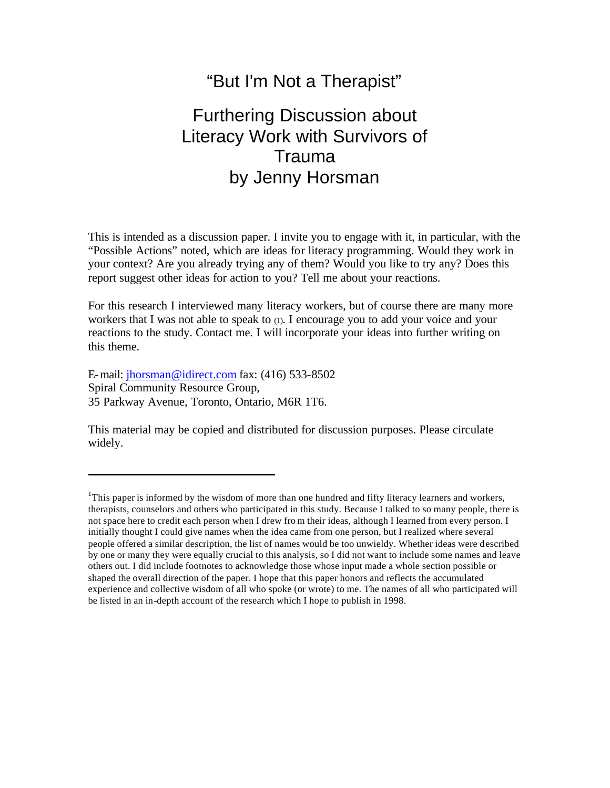# "But I'm Not a Therapist"

# Furthering Discussion about Literacy Work with Survivors of Trauma by Jenny Horsman

This is intended as a discussion paper. I invite you to engage with it, in particular, with the "Possible Actions" noted, which are ideas for literacy programming. Would they work in your context? Are you already trying any of them? Would you like to try any? Does this report suggest other ideas for action to you? Tell me about your reactions.

For this research I interviewed many literacy workers, but of course there are many more workers that I was not able to speak to (1). I encourage you to add your voice and your reactions to the study. Contact me. I will incorporate your ideas into further writing on this theme.

E-mail[: jhorsman@idirect.com](mailto:jhorsman@idirect.com) fax: (416) 533-8502 Spiral Community Resource Group, 35 Parkway Avenue, Toronto, Ontario, M6R 1T6.

This material may be copied and distributed for discussion purposes. Please circulate widely.

<sup>&</sup>lt;sup>1</sup>This paper is informed by the wisdom of more than one hundred and fifty literacy learners and workers, therapists, counselors and others who participated in this study. Because I talked to so many people, there is not space here to credit each person when I drew fro m their ideas, although I learned from every person. I initially thought I could give names when the idea came from one person, but I realized where several people offered a similar description, the list of names would be too unwieldy. Whether ideas were described by one or many they were equally crucial to this analysis, so I did not want to include some names and leave others out. I did include footnotes to acknowledge those whose input made a whole section possible or shaped the overall direction of the paper. I hope that this paper honors and reflects the accumulated experience and collective wisdom of all who spoke (or wrote) to me. The names of all who participated will be listed in an in-depth account of the research which I hope to publish in 1998.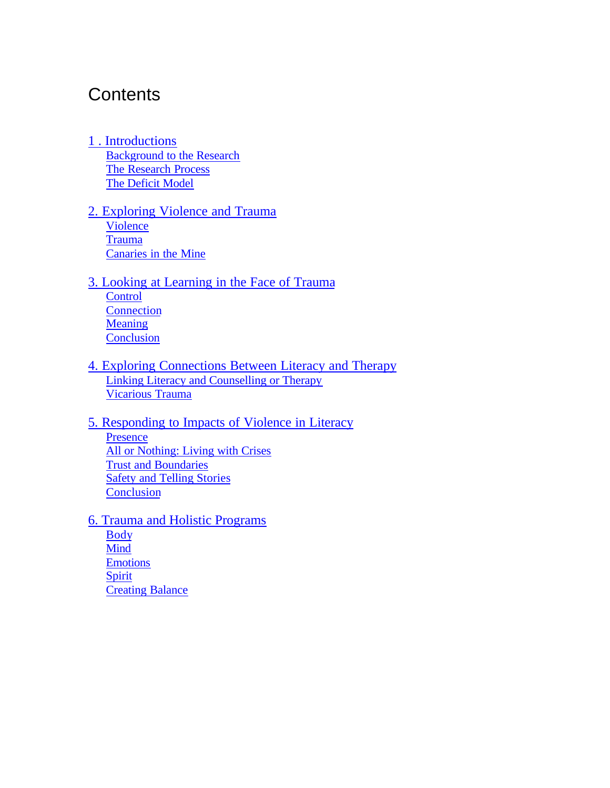# **Contents**

- [1 . Introductions](#page-2-0)  [Background to the Research](#page-2-0)  [The Research Process](#page-2-0) [The Deficit Model](#page-3-0)
- [2. Exploring Violence and Trauma](#page-4-0) [Violence](#page-4-0)  [Trauma](#page-6-0) [Canaries in the Mine](#page-7-0)
- [3. Looking at Learning in the Face of Trauma](#page-8-0) **Control [Connection](#page-9-0)** [Meaning](#page-10-0) **Conclusion**
- [4. Exploring Connections Between Literacy and Therapy](#page-11-0) [Linking Literacy and Counselling or Therapy](#page-12-0)  [Vicarious Trauma](#page-13-0)
- [5. Responding to Impacts of Violence in Literacy](#page-14-0)

**Presence** [All or Nothing: Living with Crises](#page-17-0) [Trust and Boundaries](#page-19-0)  [Safety and Telling Stories](#page-22-0) **[Conclusion](#page-23-0)** 

- [6. Trauma and Holistic Programs](#page-24-0) 
	- [Body](#page-25-0) [Mind](#page-26-0) [Emotions](#page-29-0) [Spirit](#page-29-0)  [Creating Balance](#page-30-0)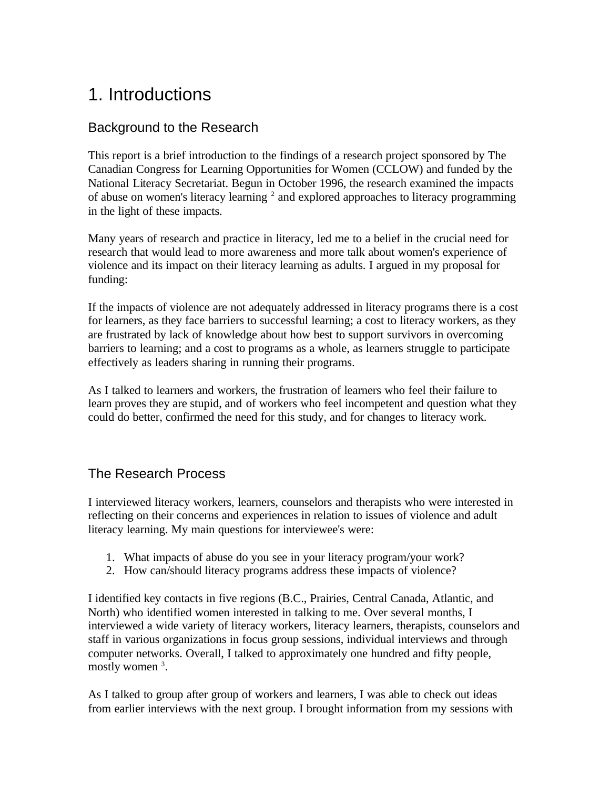# <span id="page-2-0"></span>1. Introductions

# Background to the Research

This report is a brief introduction to the findings of a research project sponsored by The Canadian Congress for Learning Opportunities for Women (CCLOW) and funded by the National Literacy Secretariat. Begun in October 1996, the research examined the impacts of abuse on women's literacy learning  $2$  and explored approaches to literacy programming in the light of these impacts.

Many years of research and practice in literacy, led me to a belief in the crucial need for research that would lead to more awareness and more talk about women's experience of violence and its impact on their literacy learning as adults. I argued in my proposal for funding:

If the impacts of violence are not adequately addressed in literacy programs there is a cost for learners, as they face barriers to successful learning; a cost to literacy workers, as they are frustrated by lack of knowledge about how best to support survivors in overcoming barriers to learning; and a cost to programs as a whole, as learners struggle to participate effectively as leaders sharing in running their programs.

As I talked to learners and workers, the frustration of learners who feel their failure to learn proves they are stupid, and of workers who feel incompetent and question what they could do better, confirmed the need for this study, and for changes to literacy work.

# The Research Process

I interviewed literacy workers, learners, counselors and therapists who were interested in reflecting on their concerns and experiences in relation to issues of violence and adult literacy learning. My main questions for interviewee's were:

- 1. What impacts of abuse do you see in your literacy program/your work?
- 2. How can/should literacy programs address these impacts of violence?

I identified key contacts in five regions (B.C., Prairies, Central Canada, Atlantic, and North) who identified women interested in talking to me. Over several months, I interviewed a wide variety of literacy workers, literacy learners, therapists, counselors and staff in various organizations in focus group sessions, individual interviews and through computer networks. Overall, I talked to approximately one hundred and fifty people, mostly women<sup>3</sup>.

As I talked to group after group of workers and learners, I was able to check out ideas from earlier interviews with the next group. I brought information from my sessions with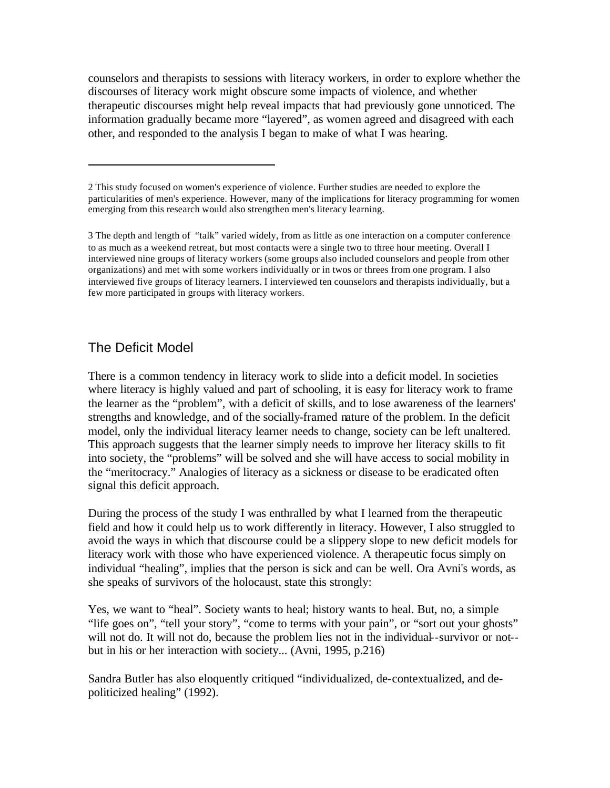<span id="page-3-0"></span>counselors and therapists to sessions with literacy workers, in order to explore whether the discourses of literacy work might obscure some impacts of violence, and whether therapeutic discourses might help reveal impacts that had previously gone unnoticed. The information gradually became more "layered", as women agreed and disagreed with each other, and responded to the analysis I began to make of what I was hearing.

3 The depth and length of "talk" varied widely, from as little as one interaction on a computer conference to as much as a weekend retreat, but most contacts were a single two to three hour meeting. Overall I interviewed nine groups of literacy workers (some groups also included counselors and people from other organizations) and met with some workers individually or in twos or threes from one program. I also interviewed five groups of literacy learners. I interviewed ten counselors and therapists individually, but a few more participated in groups with literacy workers.

## The Deficit Model

There is a common tendency in literacy work to slide into a deficit model. In societies where literacy is highly valued and part of schooling, it is easy for literacy work to frame the learner as the "problem", with a deficit of skills, and to lose awareness of the learners' strengths and knowledge, and of the socially-framed nature of the problem. In the deficit model, only the individual literacy learner needs to change, society can be left unaltered. This approach suggests that the learner simply needs to improve her literacy skills to fit into society, the "problems" will be solved and she will have access to social mobility in the "meritocracy." Analogies of literacy as a sickness or disease to be eradicated often signal this deficit approach.

During the process of the study I was enthralled by what I learned from the therapeutic field and how it could help us to work differently in literacy. However, I also struggled to avoid the ways in which that discourse could be a slippery slope to new deficit models for literacy work with those who have experienced violence. A therapeutic focus simply on individual "healing", implies that the person is sick and can be well. Ora Avni's words, as she speaks of survivors of the holocaust, state this strongly:

Yes, we want to "heal". Society wants to heal; history wants to heal. But, no, a simple "life goes on", "tell your story", "come to terms with your pain", or "sort out your ghosts" will not do. It will not do, because the problem lies not in the individual-survivor or not-but in his or her interaction with society... (Avni, 1995, p.216)

Sandra Butler has also eloquently critiqued "individualized, de-contextualized, and depoliticized healing" (1992).

<sup>2</sup> This study focused on women's experience of violence. Further studies are needed to explore the particularities of men's experience. However, many of the implications for literacy programming for women emerging from this research would also strengthen men's literacy learning.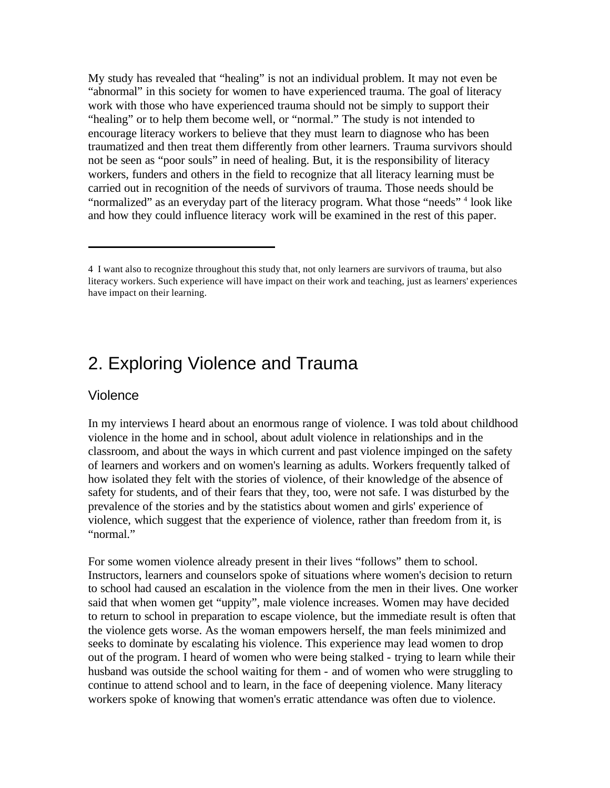<span id="page-4-0"></span>My study has revealed that "healing" is not an individual problem. It may not even be "abnormal" in this society for women to have experienced trauma. The goal of literacy work with those who have experienced trauma should not be simply to support their "healing" or to help them become well, or "normal." The study is not intended to encourage literacy workers to believe that they must learn to diagnose who has been traumatized and then treat them differently from other learners. Trauma survivors should not be seen as "poor souls" in need of healing. But, it is the responsibility of literacy workers, funders and others in the field to recognize that all literacy learning must be carried out in recognition of the needs of survivors of trauma. Those needs should be "normalized" as an everyday part of the literacy program. What those "needs"<sup>4</sup> look like and how they could influence literacy work will be examined in the rest of this paper.

# 2. Exploring Violence and Trauma

### Violence

In my interviews I heard about an enormous range of violence. I was told about childhood violence in the home and in school, about adult violence in relationships and in the classroom, and about the ways in which current and past violence impinged on the safety of learners and workers and on women's learning as adults. Workers frequently talked of how isolated they felt with the stories of violence, of their knowledge of the absence of safety for students, and of their fears that they, too, were not safe. I was disturbed by the prevalence of the stories and by the statistics about women and girls' experience of violence, which suggest that the experience of violence, rather than freedom from it, is "normal"

For some women violence already present in their lives "follows" them to school. Instructors, learners and counselors spoke of situations where women's decision to return to school had caused an escalation in the violence from the men in their lives. One worker said that when women get "uppity", male violence increases. Women may have decided to return to school in preparation to escape violence, but the immediate result is often that the violence gets worse. As the woman empowers herself, the man feels minimized and seeks to dominate by escalating his violence. This experience may lead women to drop out of the program. I heard of women who were being stalked - trying to learn while their husband was outside the school waiting for them - and of women who were struggling to continue to attend school and to learn, in the face of deepening violence. Many literacy workers spoke of knowing that women's erratic attendance was often due to violence.

<sup>4</sup> I want also to recognize throughout this study that, not only learners are survivors of trauma, but also literacy workers. Such experience will have impact on their work and teaching, just as learners' experiences have impact on their learning.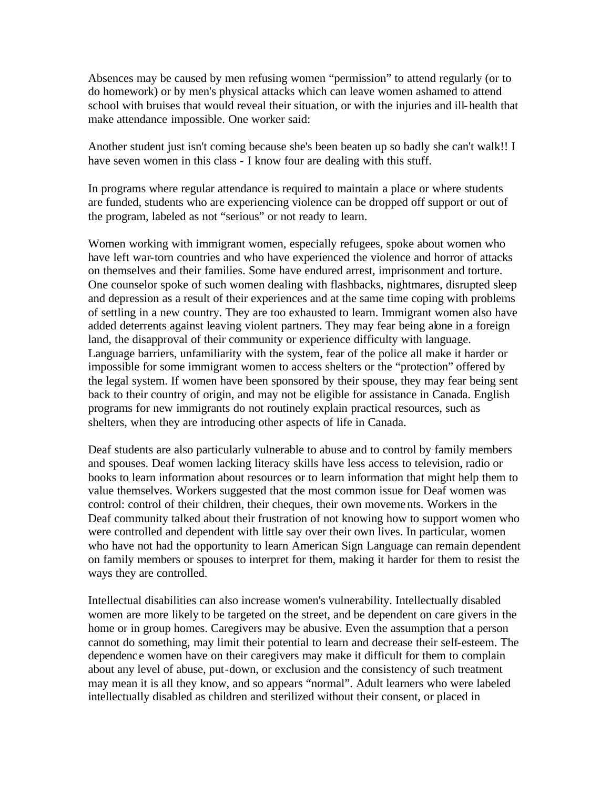Absences may be caused by men refusing women "permission" to attend regularly (or to do homework) or by men's physical attacks which can leave women ashamed to attend school with bruises that would reveal their situation, or with the injuries and ill-health that make attendance impossible. One worker said:

Another student just isn't coming because she's been beaten up so badly she can't walk!! I have seven women in this class - I know four are dealing with this stuff.

In programs where regular attendance is required to maintain a place or where students are funded, students who are experiencing violence can be dropped off support or out of the program, labeled as not "serious" or not ready to learn.

Women working with immigrant women, especially refugees, spoke about women who have left war-torn countries and who have experienced the violence and horror of attacks on themselves and their families. Some have endured arrest, imprisonment and torture. One counselor spoke of such women dealing with flashbacks, nightmares, disrupted sleep and depression as a result of their experiences and at the same time coping with problems of settling in a new country. They are too exhausted to learn. Immigrant women also have added deterrents against leaving violent partners. They may fear being alone in a foreign land, the disapproval of their community or experience difficulty with language. Language barriers, unfamiliarity with the system, fear of the police all make it harder or impossible for some immigrant women to access shelters or the "protection" offered by the legal system. If women have been sponsored by their spouse, they may fear being sent back to their country of origin, and may not be eligible for assistance in Canada. English programs for new immigrants do not routinely explain practical resources, such as shelters, when they are introducing other aspects of life in Canada.

Deaf students are also particularly vulnerable to abuse and to control by family members and spouses. Deaf women lacking literacy skills have less access to television, radio or books to learn information about resources or to learn information that might help them to value themselves. Workers suggested that the most common issue for Deaf women was control: control of their children, their cheques, their own movements. Workers in the Deaf community talked about their frustration of not knowing how to support women who were controlled and dependent with little say over their own lives. In particular, women who have not had the opportunity to learn American Sign Language can remain dependent on family members or spouses to interpret for them, making it harder for them to resist the ways they are controlled.

Intellectual disabilities can also increase women's vulnerability. Intellectually disabled women are more likely to be targeted on the street, and be dependent on care givers in the home or in group homes. Caregivers may be abusive. Even the assumption that a person cannot do something, may limit their potential to learn and decrease their self-esteem. The dependence women have on their caregivers may make it difficult for them to complain about any level of abuse, put-down, or exclusion and the consistency of such treatment may mean it is all they know, and so appears "normal". Adult learners who were labeled intellectually disabled as children and sterilized without their consent, or placed in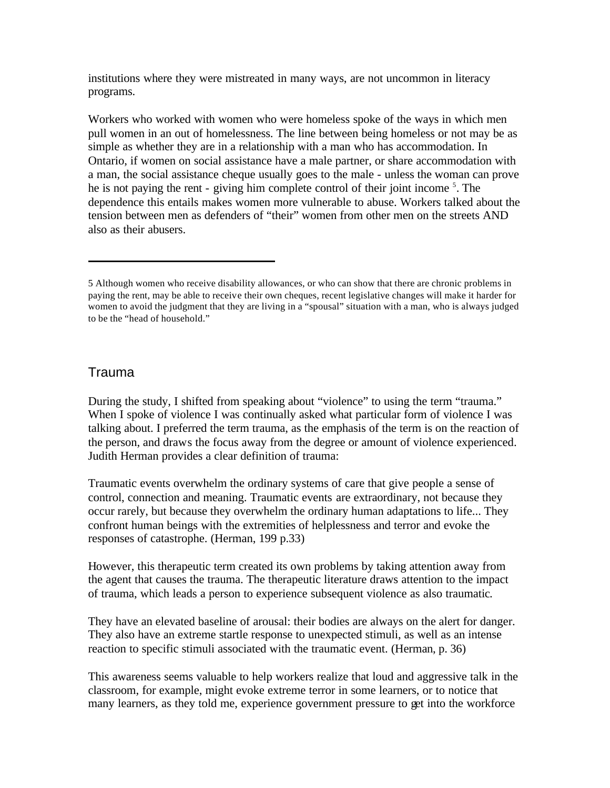<span id="page-6-0"></span>institutions where they were mistreated in many ways, are not uncommon in literacy programs.

Workers who worked with women who were homeless spoke of the ways in which men pull women in an out of homelessness. The line between being homeless or not may be as simple as whether they are in a relationship with a man who has accommodation. In Ontario, if women on social assistance have a male partner, or share accommodation with a man, the social assistance cheque usually goes to the male - unless the woman can prove he is not paying the rent - giving him complete control of their joint income<sup>5</sup>. The dependence this entails makes women more vulnerable to abuse. Workers talked about the tension between men as defenders of "their" women from other men on the streets AND also as their abusers.

### Trauma

During the study, I shifted from speaking about "violence" to using the term "trauma." When I spoke of violence I was continually asked what particular form of violence I was talking about. I preferred the term trauma, as the emphasis of the term is on the reaction of the person, and draws the focus away from the degree or amount of violence experienced. Judith Herman provides a clear definition of trauma:

Traumatic events overwhelm the ordinary systems of care that give people a sense of control, connection and meaning. Traumatic events are extraordinary, not because they occur rarely, but because they overwhelm the ordinary human adaptations to life... They confront human beings with the extremities of helplessness and terror and evoke the responses of catastrophe. (Herman, 199 p.33)

However, this therapeutic term created its own problems by taking attention away from the agent that causes the trauma. The therapeutic literature draws attention to the impact of trauma, which leads a person to experience subsequent violence as also traumatic.

They have an elevated baseline of arousal: their bodies are always on the alert for danger. They also have an extreme startle response to unexpected stimuli, as well as an intense reaction to specific stimuli associated with the traumatic event. (Herman, p. 36)

This awareness seems valuable to help workers realize that loud and aggressive talk in the classroom, for example, might evoke extreme terror in some learners, or to notice that many learners, as they told me, experience government pressure to get into the workforce

<sup>5</sup> Although women who receive disability allowances, or who can show that there are chronic problems in paying the rent, may be able to receive their own cheques, recent legislative changes will make it harder for women to avoid the judgment that they are living in a "spousal" situation with a man, who is always judged to be the "head of household."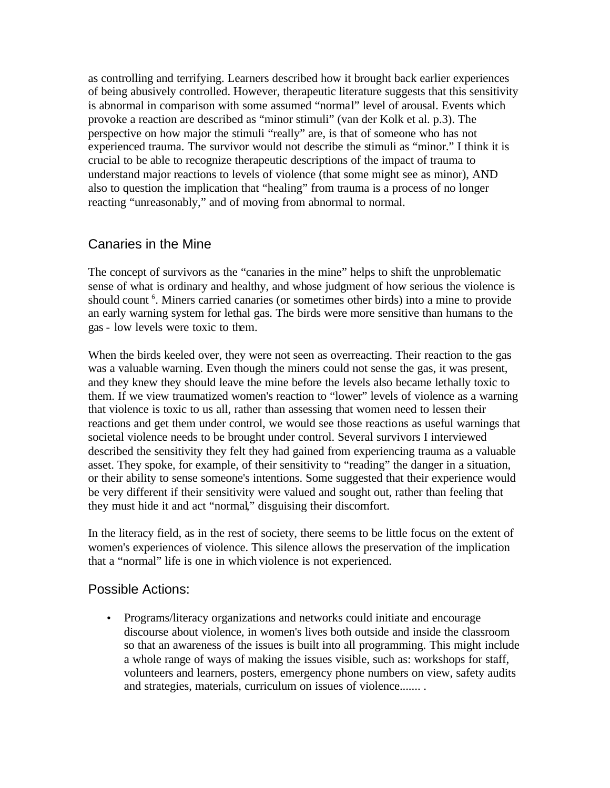<span id="page-7-0"></span>as controlling and terrifying. Learners described how it brought back earlier experiences of being abusively controlled. However, therapeutic literature suggests that this sensitivity is abnormal in comparison with some assumed "normal" level of arousal. Events which provoke a reaction are described as "minor stimuli" (van der Kolk et al. p.3). The perspective on how major the stimuli "really" are, is that of someone who has not experienced trauma. The survivor would not describe the stimuli as "minor." I think it is crucial to be able to recognize therapeutic descriptions of the impact of trauma to understand major reactions to levels of violence (that some might see as minor), AND also to question the implication that "healing" from trauma is a process of no longer reacting "unreasonably," and of moving from abnormal to normal.

## Canaries in the Mine

The concept of survivors as the "canaries in the mine" helps to shift the unproblematic sense of what is ordinary and healthy, and whose judgment of how serious the violence is should count<sup>6</sup>. Miners carried canaries (or sometimes other birds) into a mine to provide an early warning system for lethal gas. The birds were more sensitive than humans to the gas - low levels were toxic to them.

When the birds keeled over, they were not seen as overreacting. Their reaction to the gas was a valuable warning. Even though the miners could not sense the gas, it was present, and they knew they should leave the mine before the levels also became lethally toxic to them. If we view traumatized women's reaction to "lower" levels of violence as a warning that violence is toxic to us all, rather than assessing that women need to lessen their reactions and get them under control, we would see those reactions as useful warnings that societal violence needs to be brought under control. Several survivors I interviewed described the sensitivity they felt they had gained from experiencing trauma as a valuable asset. They spoke, for example, of their sensitivity to "reading" the danger in a situation, or their ability to sense someone's intentions. Some suggested that their experience would be very different if their sensitivity were valued and sought out, rather than feeling that they must hide it and act "normal," disguising their discomfort.

In the literacy field, as in the rest of society, there seems to be little focus on the extent of women's experiences of violence. This silence allows the preservation of the implication that a "normal" life is one in which violence is not experienced.

## Possible Actions:

• Programs/literacy organizations and networks could initiate and encourage discourse about violence, in women's lives both outside and inside the classroom so that an awareness of the issues is built into all programming. This might include a whole range of ways of making the issues visible, such as: workshops for staff, volunteers and learners, posters, emergency phone numbers on view, safety audits and strategies, materials, curriculum on issues of violence....... .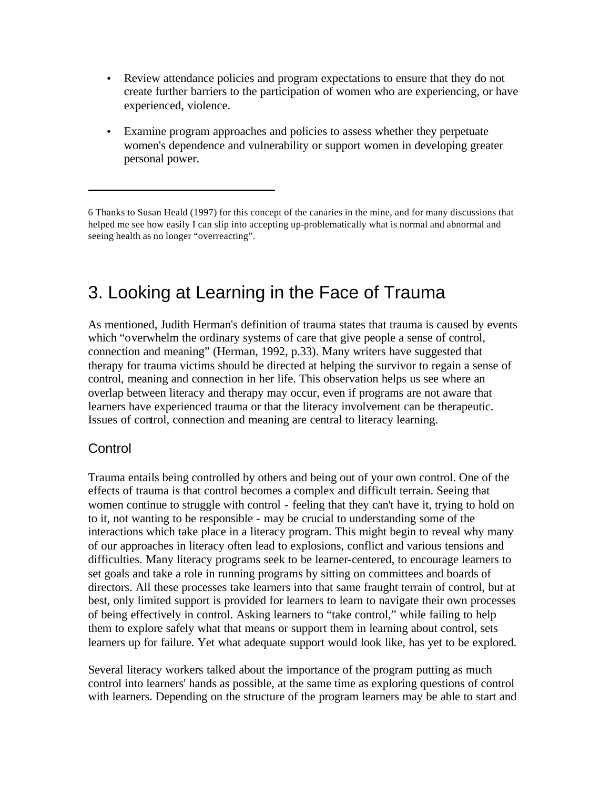- <span id="page-8-0"></span>• Review attendance policies and program expectations to ensure that they do not create further barriers to the participation of women who are experiencing, or have experienced, violence.
- Examine program approaches and policies to assess whether they perpetuate women's dependence and vulnerability or support women in developing greater personal power.

6 Thanks to Susan Heald (1997) for this concept of the canaries in the mine, and for many discussions that helped me see how easily I can slip into accepting up-problematically what is normal and abnormal and seeing health as no longer "overreacting".

# 3. Looking at Learning in the Face of Trauma

As mentioned, Judith Herman's definition of trauma states that trauma is caused by events which "overwhelm the ordinary systems of care that give people a sense of control, connection and meaning" (Herman, 1992, p.33). Many writers have suggested that therapy for trauma victims should be directed at helping the survivor to regain a sense of control, meaning and connection in her life. This observation helps us see where an overlap between literacy and therapy may occur, even if programs are not aware that learners have experienced trauma or that the literacy involvement can be therapeutic. Issues of control, connection and meaning are central to literacy learning.

## **Control**

Trauma entails being controlled by others and being out of your own control. One of the effects of trauma is that control becomes a complex and difficult terrain. Seeing that women continue to struggle with control - feeling that they can't have it, trying to hold on to it, not wanting to be responsible - may be crucial to understanding some of the interactions which take place in a literacy program. This might begin to reveal why many of our approaches in literacy often lead to explosions, conflict and various tensions and difficulties. Many literacy programs seek to be learner-centered, to encourage learners to set goals and take a role in running programs by sitting on committees and boards of directors. All these processes take learners into that same fraught terrain of control, but at best, only limited support is provided for learners to learn to navigate their own processes of being effectively in control. Asking learners to "take control," while failing to help them to explore safely what that means or support them in learning about control, sets learners up for failure. Yet what adequate support would look like, has yet to be explored.

Several literacy workers talked about the importance of the program putting as much control into learners' hands as possible, at the same time as exploring questions of control with learners. Depending on the structure of the program learners may be able to start and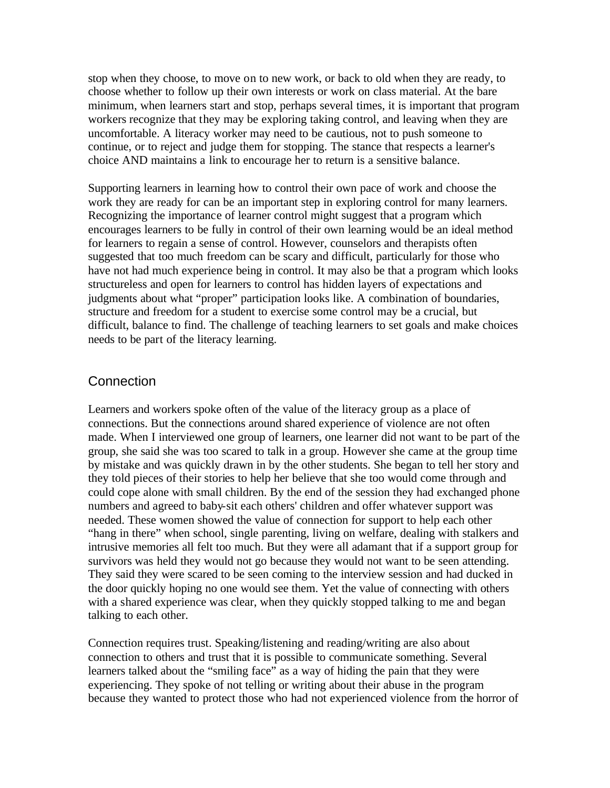<span id="page-9-0"></span>stop when they choose, to move on to new work, or back to old when they are ready, to choose whether to follow up their own interests or work on class material. At the bare minimum, when learners start and stop, perhaps several times, it is important that program workers recognize that they may be exploring taking control, and leaving when they are uncomfortable. A literacy worker may need to be cautious, not to push someone to continue, or to reject and judge them for stopping. The stance that respects a learner's choice AND maintains a link to encourage her to return is a sensitive balance.

Supporting learners in learning how to control their own pace of work and choose the work they are ready for can be an important step in exploring control for many learners. Recognizing the importance of learner control might suggest that a program which encourages learners to be fully in control of their own learning would be an ideal method for learners to regain a sense of control. However, counselors and therapists often suggested that too much freedom can be scary and difficult, particularly for those who have not had much experience being in control. It may also be that a program which looks structureless and open for learners to control has hidden layers of expectations and judgments about what "proper" participation looks like. A combination of boundaries, structure and freedom for a student to exercise some control may be a crucial, but difficult, balance to find. The challenge of teaching learners to set goals and make choices needs to be part of the literacy learning.

## **Connection**

Learners and workers spoke often of the value of the literacy group as a place of connections. But the connections around shared experience of violence are not often made. When I interviewed one group of learners, one learner did not want to be part of the group, she said she was too scared to talk in a group. However she came at the group time by mistake and was quickly drawn in by the other students. She began to tell her story and they told pieces of their stories to help her believe that she too would come through and could cope alone with small children. By the end of the session they had exchanged phone numbers and agreed to baby-sit each others' children and offer whatever support was needed. These women showed the value of connection for support to help each other "hang in there" when school, single parenting, living on welfare, dealing with stalkers and intrusive memories all felt too much. But they were all adamant that if a support group for survivors was held they would not go because they would not want to be seen attending. They said they were scared to be seen coming to the interview session and had ducked in the door quickly hoping no one would see them. Yet the value of connecting with others with a shared experience was clear, when they quickly stopped talking to me and began talking to each other.

Connection requires trust. Speaking/listening and reading/writing are also about connection to others and trust that it is possible to communicate something. Several learners talked about the "smiling face" as a way of hiding the pain that they were experiencing. They spoke of not telling or writing about their abuse in the program because they wanted to protect those who had not experienced violence from the horror of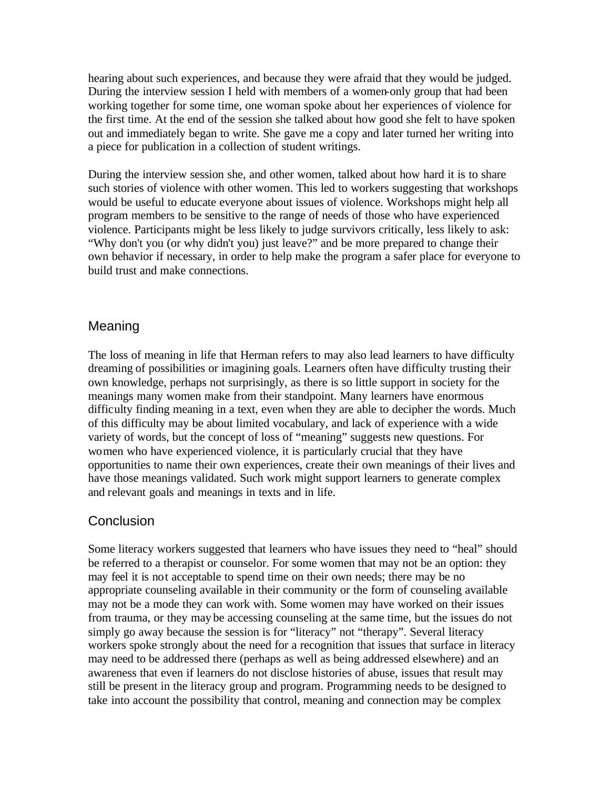<span id="page-10-0"></span>hearing about such experiences, and because they were afraid that they would be judged. During the interview session I held with members of a women-only group that had been working together for some time, one woman spoke about her experiences of violence for the first time. At the end of the session she talked about how good she felt to have spoken out and immediately began to write. She gave me a copy and later turned her writing into a piece for publication in a collection of student writings.

During the interview session she, and other women, talked about how hard it is to share such stories of violence with other women. This led to workers suggesting that workshops would be useful to educate everyone about issues of violence. Workshops might help all program members to be sensitive to the range of needs of those who have experienced violence. Participants might be less likely to judge survivors critically, less likely to ask: "Why don't you (or why didn't you) just leave?" and be more prepared to change their own behavior if necessary, in order to help make the program a safer place for everyone to build trust and make connections.

### Meaning

The loss of meaning in life that Herman refers to may also lead learners to have difficulty dreaming of possibilities or imagining goals. Learners often have difficulty trusting their own knowledge, perhaps not surprisingly, as there is so little support in society for the meanings many women make from their standpoint. Many learners have enormous difficulty finding meaning in a text, even when they are able to decipher the words. Much of this difficulty may be about limited vocabulary, and lack of experience with a wide variety of words, but the concept of loss of "meaning" suggests new questions. For women who have experienced violence, it is particularly crucial that they have opportunities to name their own experiences, create their own meanings of their lives and have those meanings validated. Such work might support learners to generate complex and relevant goals and meanings in texts and in life.

## **Conclusion**

Some literacy workers suggested that learners who have issues they need to "heal" should be referred to a therapist or counselor. For some women that may not be an option: they may feel it is not acceptable to spend time on their own needs; there may be no appropriate counseling available in their community or the form of counseling available may not be a mode they can work with. Some women may have worked on their issues from trauma, or they may be accessing counseling at the same time, but the issues do not simply go away because the session is for "literacy" not "therapy". Several literacy workers spoke strongly about the need for a recognition that issues that surface in literacy may need to be addressed there (perhaps as well as being addressed elsewhere) and an awareness that even if learners do not disclose histories of abuse, issues that result may still be present in the literacy group and program. Programming needs to be designed to take into account the possibility that control, meaning and connection may be complex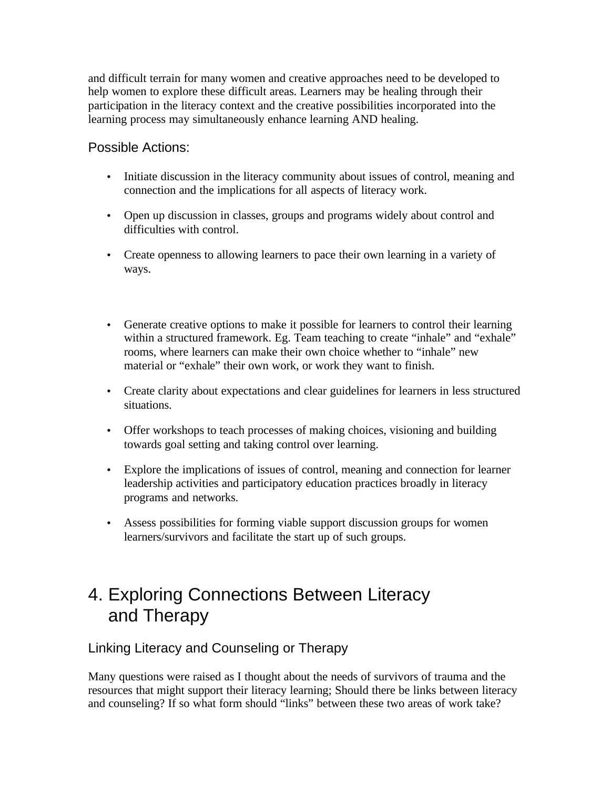<span id="page-11-0"></span>and difficult terrain for many women and creative approaches need to be developed to help women to explore these difficult areas. Learners may be healing through their participation in the literacy context and the creative possibilities incorporated into the learning process may simultaneously enhance learning AND healing.

### Possible Actions:

- Initiate discussion in the literacy community about issues of control, meaning and connection and the implications for all aspects of literacy work.
- Open up discussion in classes, groups and programs widely about control and difficulties with control.
- Create openness to allowing learners to pace their own learning in a variety of ways.
- Generate creative options to make it possible for learners to control their learning within a structured framework. Eg. Team teaching to create "inhale" and "exhale" rooms, where learners can make their own choice whether to "inhale" new material or "exhale" their own work, or work they want to finish.
- Create clarity about expectations and clear guidelines for learners in less structured situations.
- Offer workshops to teach processes of making choices, visioning and building towards goal setting and taking control over learning.
- Explore the implications of issues of control, meaning and connection for learner leadership activities and participatory education practices broadly in literacy programs and networks.
- Assess possibilities for forming viable support discussion groups for women learners/survivors and facilitate the start up of such groups.

# 4. Exploring Connections Between Literacy and Therapy

# Linking Literacy and Counseling or Therapy

Many questions were raised as I thought about the needs of survivors of trauma and the resources that might support their literacy learning; Should there be links between literacy and counseling? If so what form should "links" between these two areas of work take?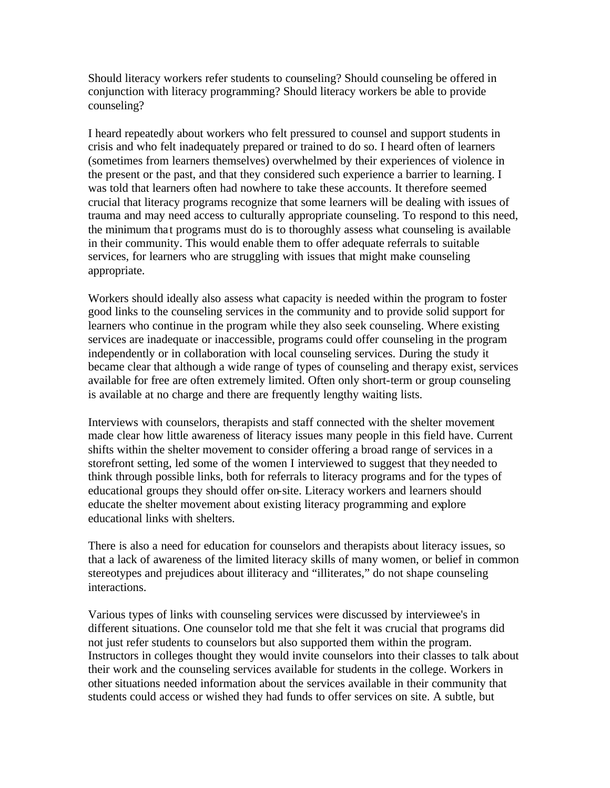<span id="page-12-0"></span>Should literacy workers refer students to counseling? Should counseling be offered in conjunction with literacy programming? Should literacy workers be able to provide counseling?

I heard repeatedly about workers who felt pressured to counsel and support students in crisis and who felt inadequately prepared or trained to do so. I heard often of learners (sometimes from learners themselves) overwhelmed by their experiences of violence in the present or the past, and that they considered such experience a barrier to learning. I was told that learners often had nowhere to take these accounts. It therefore seemed crucial that literacy programs recognize that some learners will be dealing with issues of trauma and may need access to culturally appropriate counseling. To respond to this need, the minimum that programs must do is to thoroughly assess what counseling is available in their community. This would enable them to offer adequate referrals to suitable services, for learners who are struggling with issues that might make counseling appropriate.

Workers should ideally also assess what capacity is needed within the program to foster good links to the counseling services in the community and to provide solid support for learners who continue in the program while they also seek counseling. Where existing services are inadequate or inaccessible, programs could offer counseling in the program independently or in collaboration with local counseling services. During the study it became clear that although a wide range of types of counseling and therapy exist, services available for free are often extremely limited. Often only short-term or group counseling is available at no charge and there are frequently lengthy waiting lists.

Interviews with counselors, therapists and staff connected with the shelter movement made clear how little awareness of literacy issues many people in this field have. Current shifts within the shelter movement to consider offering a broad range of services in a storefront setting, led some of the women I interviewed to suggest that they needed to think through possible links, both for referrals to literacy programs and for the types of educational groups they should offer on-site. Literacy workers and learners should educate the shelter movement about existing literacy programming and explore educational links with shelters.

There is also a need for education for counselors and therapists about literacy issues, so that a lack of awareness of the limited literacy skills of many women, or belief in common stereotypes and prejudices about illiteracy and "illiterates," do not shape counseling interactions.

Various types of links with counseling services were discussed by interviewee's in different situations. One counselor told me that she felt it was crucial that programs did not just refer students to counselors but also supported them within the program. Instructors in colleges thought they would invite counselors into their classes to talk about their work and the counseling services available for students in the college. Workers in other situations needed information about the services available in their community that students could access or wished they had funds to offer services on site. A subtle, but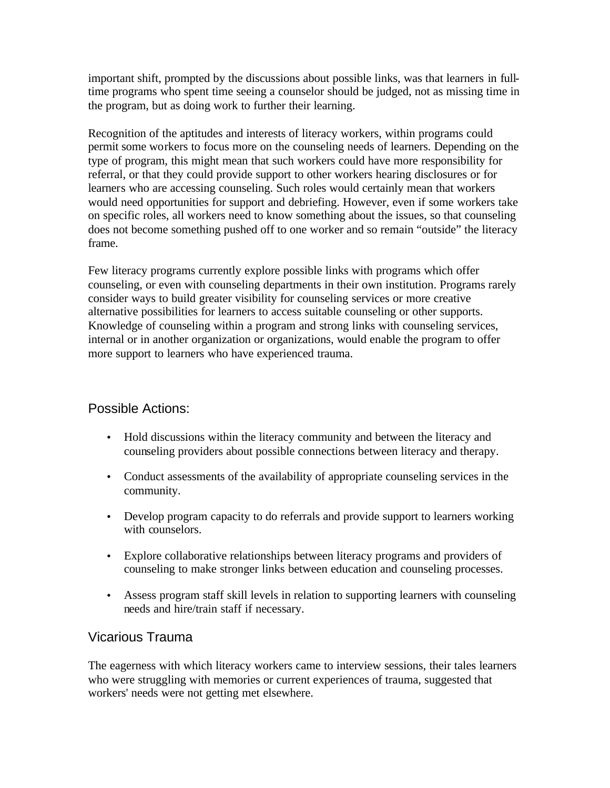<span id="page-13-0"></span>important shift, prompted by the discussions about possible links, was that learners in fulltime programs who spent time seeing a counselor should be judged, not as missing time in the program, but as doing work to further their learning.

Recognition of the aptitudes and interests of literacy workers, within programs could permit some workers to focus more on the counseling needs of learners. Depending on the type of program, this might mean that such workers could have more responsibility for referral, or that they could provide support to other workers hearing disclosures or for learners who are accessing counseling. Such roles would certainly mean that workers would need opportunities for support and debriefing. However, even if some workers take on specific roles, all workers need to know something about the issues, so that counseling does not become something pushed off to one worker and so remain "outside" the literacy frame.

Few literacy programs currently explore possible links with programs which offer counseling, or even with counseling departments in their own institution. Programs rarely consider ways to build greater visibility for counseling services or more creative alternative possibilities for learners to access suitable counseling or other supports. Knowledge of counseling within a program and strong links with counseling services, internal or in another organization or organizations, would enable the program to offer more support to learners who have experienced trauma.

# Possible Actions:

- Hold discussions within the literacy community and between the literacy and counseling providers about possible connections between literacy and therapy.
- Conduct assessments of the availability of appropriate counseling services in the community.
- Develop program capacity to do referrals and provide support to learners working with counselors.
- Explore collaborative relationships between literacy programs and providers of counseling to make stronger links between education and counseling processes.
- Assess program staff skill levels in relation to supporting learners with counseling needs and hire/train staff if necessary.

# Vicarious Trauma

The eagerness with which literacy workers came to interview sessions, their tales learners who were struggling with memories or current experiences of trauma, suggested that workers' needs were not getting met elsewhere.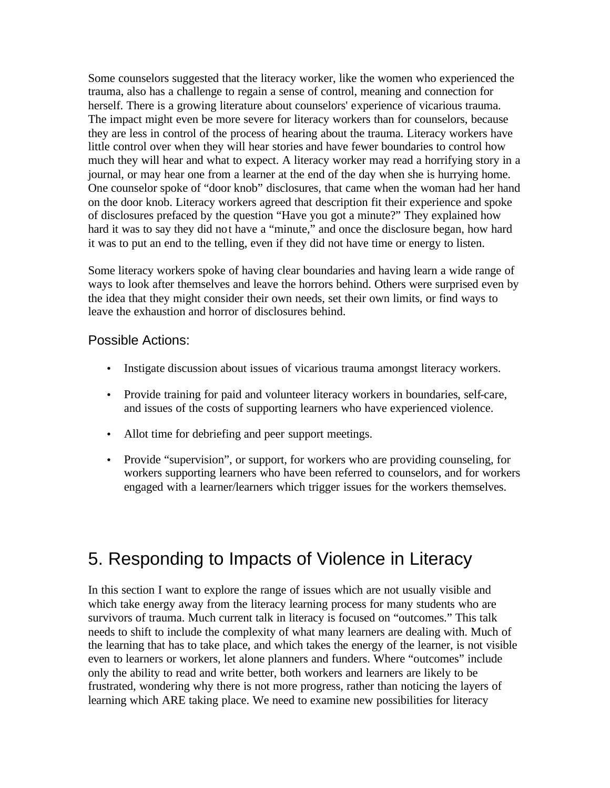<span id="page-14-0"></span>Some counselors suggested that the literacy worker, like the women who experienced the trauma, also has a challenge to regain a sense of control, meaning and connection for herself. There is a growing literature about counselors' experience of vicarious trauma. The impact might even be more severe for literacy workers than for counselors, because they are less in control of the process of hearing about the trauma. Literacy workers have little control over when they will hear stories and have fewer boundaries to control how much they will hear and what to expect. A literacy worker may read a horrifying story in a journal, or may hear one from a learner at the end of the day when she is hurrying home. One counselor spoke of "door knob" disclosures, that came when the woman had her hand on the door knob. Literacy workers agreed that description fit their experience and spoke of disclosures prefaced by the question "Have you got a minute?" They explained how hard it was to say they did not have a "minute," and once the disclosure began, how hard it was to put an end to the telling, even if they did not have time or energy to listen.

Some literacy workers spoke of having clear boundaries and having learn a wide range of ways to look after themselves and leave the horrors behind. Others were surprised even by the idea that they might consider their own needs, set their own limits, or find ways to leave the exhaustion and horror of disclosures behind.

### Possible Actions:

- Instigate discussion about issues of vicarious trauma amongst literacy workers.
- Provide training for paid and volunteer literacy workers in boundaries, self-care, and issues of the costs of supporting learners who have experienced violence.
- Allot time for debriefing and peer support meetings.
- Provide "supervision", or support, for workers who are providing counseling, for workers supporting learners who have been referred to counselors, and for workers engaged with a learner/learners which trigger issues for the workers themselves.

# 5. Responding to Impacts of Violence in Literacy

In this section I want to explore the range of issues which are not usually visible and which take energy away from the literacy learning process for many students who are survivors of trauma. Much current talk in literacy is focused on "outcomes." This talk needs to shift to include the complexity of what many learners are dealing with. Much of the learning that has to take place, and which takes the energy of the learner, is not visible even to learners or workers, let alone planners and funders. Where "outcomes" include only the ability to read and write better, both workers and learners are likely to be frustrated, wondering why there is not more progress, rather than noticing the layers of learning which ARE taking place. We need to examine new possibilities for literacy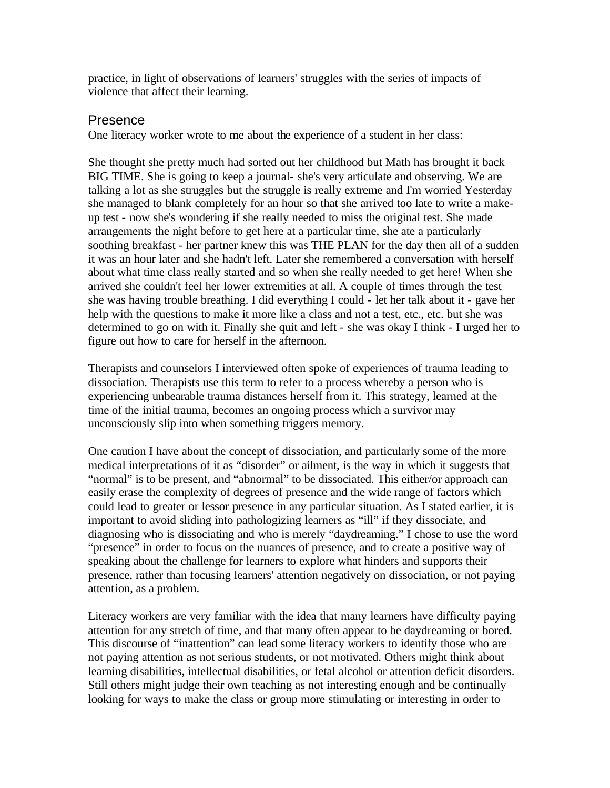<span id="page-15-0"></span>practice, in light of observations of learners' struggles with the series of impacts of violence that affect their learning.

#### Presence

One literacy worker wrote to me about the experience of a student in her class:

She thought she pretty much had sorted out her childhood but Math has brought it back BIG TIME. She is going to keep a journal- she's very articulate and observing. We are talking a lot as she struggles but the struggle is really extreme and I'm worried Yesterday she managed to blank completely for an hour so that she arrived too late to write a makeup test - now she's wondering if she really needed to miss the original test. She made arrangements the night before to get here at a particular time, she ate a particularly soothing breakfast - her partner knew this was THE PLAN for the day then all of a sudden it was an hour later and she hadn't left. Later she remembered a conversation with herself about what time class really started and so when she really needed to get here! When she arrived she couldn't feel her lower extremities at all. A couple of times through the test she was having trouble breathing. I did everything I could - let her talk about it - gave her help with the questions to make it more like a class and not a test, etc., etc. but she was determined to go on with it. Finally she quit and left - she was okay I think - I urged her to figure out how to care for herself in the afternoon.

Therapists and counselors I interviewed often spoke of experiences of trauma leading to dissociation. Therapists use this term to refer to a process whereby a person who is experiencing unbearable trauma distances herself from it. This strategy, learned at the time of the initial trauma, becomes an ongoing process which a survivor may unconsciously slip into when something triggers memory.

One caution I have about the concept of dissociation, and particularly some of the more medical interpretations of it as "disorder" or ailment, is the way in which it suggests that "normal" is to be present, and "abnormal" to be dissociated. This either/or approach can easily erase the complexity of degrees of presence and the wide range of factors which could lead to greater or lessor presence in any particular situation. As I stated earlier, it is important to avoid sliding into pathologizing learners as "ill" if they dissociate, and diagnosing who is dissociating and who is merely "daydreaming." I chose to use the word "presence" in order to focus on the nuances of presence, and to create a positive way of speaking about the challenge for learners to explore what hinders and supports their presence, rather than focusing learners' attention negatively on dissociation, or not paying attention, as a problem.

Literacy workers are very familiar with the idea that many learners have difficulty paying attention for any stretch of time, and that many often appear to be daydreaming or bored. This discourse of "inattention" can lead some literacy workers to identify those who are not paying attention as not serious students, or not motivated. Others might think about learning disabilities, intellectual disabilities, or fetal alcohol or attention deficit disorders. Still others might judge their own teaching as not interesting enough and be continually looking for ways to make the class or group more stimulating or interesting in order to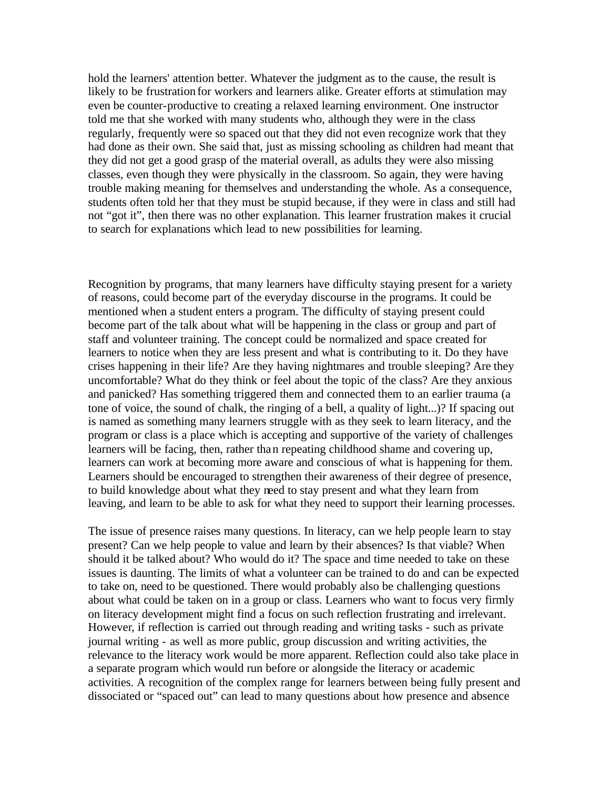hold the learners' attention better. Whatever the judgment as to the cause, the result is likely to be frustration for workers and learners alike. Greater efforts at stimulation may even be counter-productive to creating a relaxed learning environment. One instructor told me that she worked with many students who, although they were in the class regularly, frequently were so spaced out that they did not even recognize work that they had done as their own. She said that, just as missing schooling as children had meant that they did not get a good grasp of the material overall, as adults they were also missing classes, even though they were physically in the classroom. So again, they were having trouble making meaning for themselves and understanding the whole. As a consequence, students often told her that they must be stupid because, if they were in class and still had not "got it", then there was no other explanation. This learner frustration makes it crucial to search for explanations which lead to new possibilities for learning.

Recognition by programs, that many learners have difficulty staying present for a variety of reasons, could become part of the everyday discourse in the programs. It could be mentioned when a student enters a program. The difficulty of staying present could become part of the talk about what will be happening in the class or group and part of staff and volunteer training. The concept could be normalized and space created for learners to notice when they are less present and what is contributing to it. Do they have crises happening in their life? Are they having nightmares and trouble sleeping? Are they uncomfortable? What do they think or feel about the topic of the class? Are they anxious and panicked? Has something triggered them and connected them to an earlier trauma (a tone of voice, the sound of chalk, the ringing of a bell, a quality of light...)? If spacing out is named as something many learners struggle with as they seek to learn literacy, and the program or class is a place which is accepting and supportive of the variety of challenges learners will be facing, then, rather than repeating childhood shame and covering up, learners can work at becoming more aware and conscious of what is happening for them. Learners should be encouraged to strengthen their awareness of their degree of presence, to build knowledge about what they need to stay present and what they learn from leaving, and learn to be able to ask for what they need to support their learning processes.

The issue of presence raises many questions. In literacy, can we help people learn to stay present? Can we help people to value and learn by their absences? Is that viable? When should it be talked about? Who would do it? The space and time needed to take on these issues is daunting. The limits of what a volunteer can be trained to do and can be expected to take on, need to be questioned. There would probably also be challenging questions about what could be taken on in a group or class. Learners who want to focus very firmly on literacy development might find a focus on such reflection frustrating and irrelevant. However, if reflection is carried out through reading and writing tasks - such as private journal writing - as well as more public, group discussion and writing activities, the relevance to the literacy work would be more apparent. Reflection could also take place in a separate program which would run before or alongside the literacy or academic activities. A recognition of the complex range for learners between being fully present and dissociated or "spaced out" can lead to many questions about how presence and absence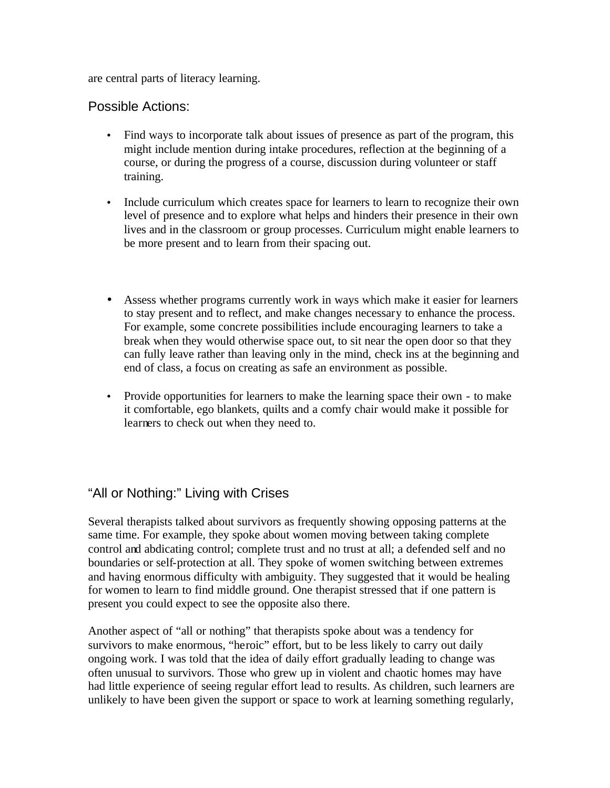<span id="page-17-0"></span>are central parts of literacy learning.

## Possible Actions:

- Find ways to incorporate talk about issues of presence as part of the program, this might include mention during intake procedures, reflection at the beginning of a course, or during the progress of a course, discussion during volunteer or staff training.
- Include curriculum which creates space for learners to learn to recognize their own level of presence and to explore what helps and hinders their presence in their own lives and in the classroom or group processes. Curriculum might enable learners to be more present and to learn from their spacing out.
- Assess whether programs currently work in ways which make it easier for learners to stay present and to reflect, and make changes necessary to enhance the process. For example, some concrete possibilities include encouraging learners to take a break when they would otherwise space out, to sit near the open door so that they can fully leave rather than leaving only in the mind, check ins at the beginning and end of class, a focus on creating as safe an environment as possible.
- Provide opportunities for learners to make the learning space their own to make it comfortable, ego blankets, quilts and a comfy chair would make it possible for learners to check out when they need to.

# "All or Nothing:" Living with Crises

Several therapists talked about survivors as frequently showing opposing patterns at the same time. For example, they spoke about women moving between taking complete control and abdicating control; complete trust and no trust at all; a defended self and no boundaries or self-protection at all. They spoke of women switching between extremes and having enormous difficulty with ambiguity. They suggested that it would be healing for women to learn to find middle ground. One therapist stressed that if one pattern is present you could expect to see the opposite also there.

Another aspect of "all or nothing" that therapists spoke about was a tendency for survivors to make enormous, "heroic" effort, but to be less likely to carry out daily ongoing work. I was told that the idea of daily effort gradually leading to change was often unusual to survivors. Those who grew up in violent and chaotic homes may have had little experience of seeing regular effort lead to results. As children, such learners are unlikely to have been given the support or space to work at learning something regularly,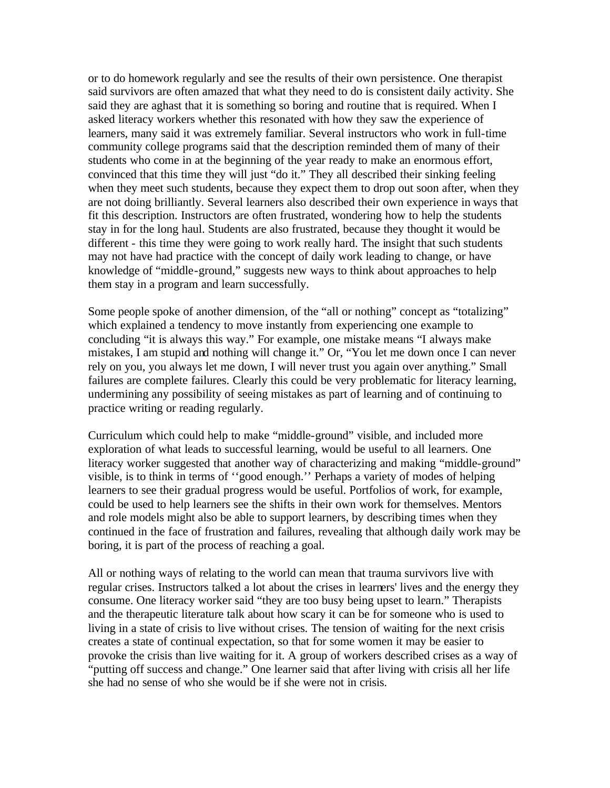or to do homework regularly and see the results of their own persistence. One therapist said survivors are often amazed that what they need to do is consistent daily activity. She said they are aghast that it is something so boring and routine that is required. When I asked literacy workers whether this resonated with how they saw the experience of learners, many said it was extremely familiar. Several instructors who work in full-time community college programs said that the description reminded them of many of their students who come in at the beginning of the year ready to make an enormous effort, convinced that this time they will just "do it." They all described their sinking feeling when they meet such students, because they expect them to drop out soon after, when they are not doing brilliantly. Several learners also described their own experience in ways that fit this description. Instructors are often frustrated, wondering how to help the students stay in for the long haul. Students are also frustrated, because they thought it would be different - this time they were going to work really hard. The insight that such students may not have had practice with the concept of daily work leading to change, or have knowledge of "middle-ground," suggests new ways to think about approaches to help them stay in a program and learn successfully.

Some people spoke of another dimension, of the "all or nothing" concept as "totalizing" which explained a tendency to move instantly from experiencing one example to concluding "it is always this way." For example, one mistake means "I always make mistakes, I am stupid and nothing will change it." Or, "You let me down once I can never rely on you, you always let me down, I will never trust you again over anything." Small failures are complete failures. Clearly this could be very problematic for literacy learning, undermining any possibility of seeing mistakes as part of learning and of continuing to practice writing or reading regularly.

Curriculum which could help to make "middle-ground" visible, and included more exploration of what leads to successful learning, would be useful to all learners. One literacy worker suggested that another way of characterizing and making "middle-ground" visible, is to think in terms of ''good enough.'' Perhaps a variety of modes of helping learners to see their gradual progress would be useful. Portfolios of work, for example, could be used to help learners see the shifts in their own work for themselves. Mentors and role models might also be able to support learners, by describing times when they continued in the face of frustration and failures, revealing that although daily work may be boring, it is part of the process of reaching a goal.

All or nothing ways of relating to the world can mean that trauma survivors live with regular crises. Instructors talked a lot about the crises in learners' lives and the energy they consume. One literacy worker said "they are too busy being upset to learn." Therapists and the therapeutic literature talk about how scary it can be for someone who is used to living in a state of crisis to live without crises. The tension of waiting for the next crisis creates a state of continual expectation, so that for some women it may be easier to provoke the crisis than live waiting for it. A group of workers described crises as a way of "putting off success and change." One learner said that after living with crisis all her life she had no sense of who she would be if she were not in crisis.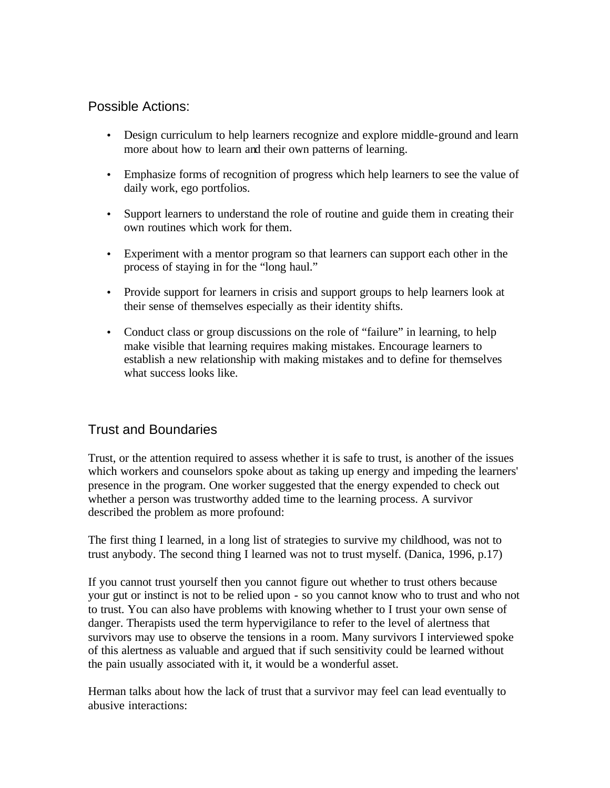### <span id="page-19-0"></span>Possible Actions:

- Design curriculum to help learners recognize and explore middle-ground and learn more about how to learn and their own patterns of learning.
- Emphasize forms of recognition of progress which help learners to see the value of daily work, ego portfolios.
- Support learners to understand the role of routine and guide them in creating their own routines which work for them.
- Experiment with a mentor program so that learners can support each other in the process of staying in for the "long haul."
- Provide support for learners in crisis and support groups to help learners look at their sense of themselves especially as their identity shifts.
- Conduct class or group discussions on the role of "failure" in learning, to help make visible that learning requires making mistakes. Encourage learners to establish a new relationship with making mistakes and to define for themselves what success looks like.

## Trust and Boundaries

Trust, or the attention required to assess whether it is safe to trust, is another of the issues which workers and counselors spoke about as taking up energy and impeding the learners' presence in the program. One worker suggested that the energy expended to check out whether a person was trustworthy added time to the learning process. A survivor described the problem as more profound:

The first thing I learned, in a long list of strategies to survive my childhood, was not to trust anybody. The second thing I learned was not to trust myself. (Danica, 1996, p.17)

If you cannot trust yourself then you cannot figure out whether to trust others because your gut or instinct is not to be relied upon - so you cannot know who to trust and who not to trust. You can also have problems with knowing whether to I trust your own sense of danger. Therapists used the term hypervigilance to refer to the level of alertness that survivors may use to observe the tensions in a room. Many survivors I interviewed spoke of this alertness as valuable and argued that if such sensitivity could be learned without the pain usually associated with it, it would be a wonderful asset.

Herman talks about how the lack of trust that a survivor may feel can lead eventually to abusive interactions: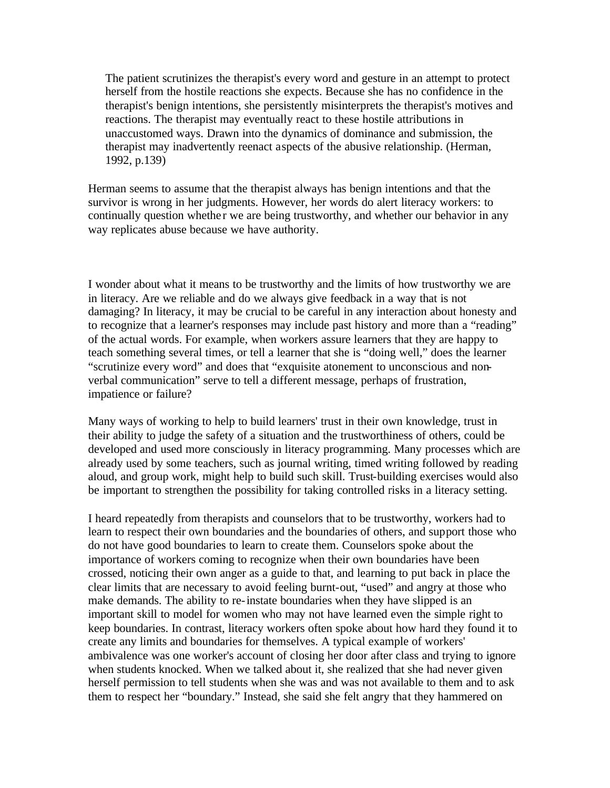The patient scrutinizes the therapist's every word and gesture in an attempt to protect herself from the hostile reactions she expects. Because she has no confidence in the therapist's benign intentions, she persistently misinterprets the therapist's motives and reactions. The therapist may eventually react to these hostile attributions in unaccustomed ways. Drawn into the dynamics of dominance and submission, the therapist may inadvertently reenact aspects of the abusive relationship. (Herman, 1992, p.139)

Herman seems to assume that the therapist always has benign intentions and that the survivor is wrong in her judgments. However, her words do alert literacy workers: to continually question whether we are being trustworthy, and whether our behavior in any way replicates abuse because we have authority.

I wonder about what it means to be trustworthy and the limits of how trustworthy we are in literacy. Are we reliable and do we always give feedback in a way that is not damaging? In literacy, it may be crucial to be careful in any interaction about honesty and to recognize that a learner's responses may include past history and more than a "reading" of the actual words. For example, when workers assure learners that they are happy to teach something several times, or tell a learner that she is "doing well," does the learner "scrutinize every word" and does that "exquisite atonement to unconscious and nonverbal communication" serve to tell a different message, perhaps of frustration, impatience or failure?

Many ways of working to help to build learners' trust in their own knowledge, trust in their ability to judge the safety of a situation and the trustworthiness of others, could be developed and used more consciously in literacy programming. Many processes which are already used by some teachers, such as journal writing, timed writing followed by reading aloud, and group work, might help to build such skill. Trust-building exercises would also be important to strengthen the possibility for taking controlled risks in a literacy setting.

I heard repeatedly from therapists and counselors that to be trustworthy, workers had to learn to respect their own boundaries and the boundaries of others, and support those who do not have good boundaries to learn to create them. Counselors spoke about the importance of workers coming to recognize when their own boundaries have been crossed, noticing their own anger as a guide to that, and learning to put back in place the clear limits that are necessary to avoid feeling burnt-out, "used" and angry at those who make demands. The ability to re-instate boundaries when they have slipped is an important skill to model for women who may not have learned even the simple right to keep boundaries. In contrast, literacy workers often spoke about how hard they found it to create any limits and boundaries for themselves. A typical example of workers' ambivalence was one worker's account of closing her door after class and trying to ignore when students knocked. When we talked about it, she realized that she had never given herself permission to tell students when she was and was not available to them and to ask them to respect her "boundary." Instead, she said she felt angry that they hammered on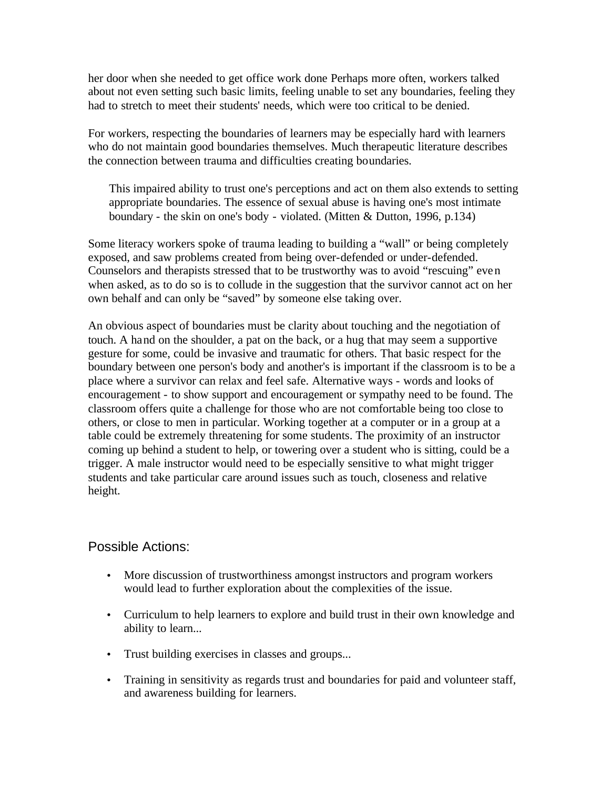her door when she needed to get office work done Perhaps more often, workers talked about not even setting such basic limits, feeling unable to set any boundaries, feeling they had to stretch to meet their students' needs, which were too critical to be denied.

For workers, respecting the boundaries of learners may be especially hard with learners who do not maintain good boundaries themselves. Much therapeutic literature describes the connection between trauma and difficulties creating boundaries.

This impaired ability to trust one's perceptions and act on them also extends to setting appropriate boundaries. The essence of sexual abuse is having one's most intimate boundary - the skin on one's body - violated. (Mitten & Dutton, 1996, p.134)

Some literacy workers spoke of trauma leading to building a "wall" or being completely exposed, and saw problems created from being over-defended or under-defended. Counselors and therapists stressed that to be trustworthy was to avoid "rescuing" even when asked, as to do so is to collude in the suggestion that the survivor cannot act on her own behalf and can only be "saved" by someone else taking over.

An obvious aspect of boundaries must be clarity about touching and the negotiation of touch. A hand on the shoulder, a pat on the back, or a hug that may seem a supportive gesture for some, could be invasive and traumatic for others. That basic respect for the boundary between one person's body and another's is important if the classroom is to be a place where a survivor can relax and feel safe. Alternative ways - words and looks of encouragement - to show support and encouragement or sympathy need to be found. The classroom offers quite a challenge for those who are not comfortable being too close to others, or close to men in particular. Working together at a computer or in a group at a table could be extremely threatening for some students. The proximity of an instructor coming up behind a student to help, or towering over a student who is sitting, could be a trigger. A male instructor would need to be especially sensitive to what might trigger students and take particular care around issues such as touch, closeness and relative height.

## Possible Actions:

- More discussion of trustworthiness amongst instructors and program workers would lead to further exploration about the complexities of the issue.
- Curriculum to help learners to explore and build trust in their own knowledge and ability to learn...
- Trust building exercises in classes and groups...
- Training in sensitivity as regards trust and boundaries for paid and volunteer staff, and awareness building for learners.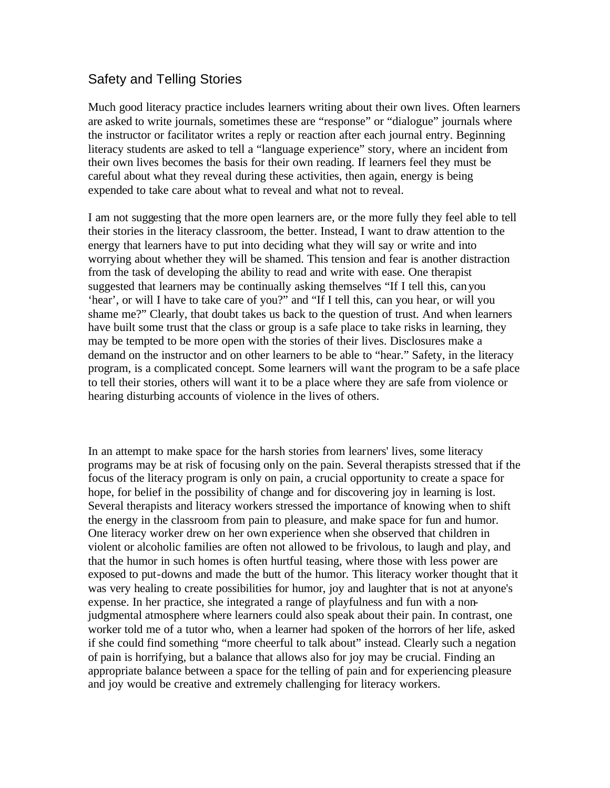# <span id="page-22-0"></span>Safety and Telling Stories

Much good literacy practice includes learners writing about their own lives. Often learners are asked to write journals, sometimes these are "response" or "dialogue" journals where the instructor or facilitator writes a reply or reaction after each journal entry. Beginning literacy students are asked to tell a "language experience" story, where an incident from their own lives becomes the basis for their own reading. If learners feel they must be careful about what they reveal during these activities, then again, energy is being expended to take care about what to reveal and what not to reveal.

I am not suggesting that the more open learners are, or the more fully they feel able to tell their stories in the literacy classroom, the better. Instead, I want to draw attention to the energy that learners have to put into deciding what they will say or write and into worrying about whether they will be shamed. This tension and fear is another distraction from the task of developing the ability to read and write with ease. One therapist suggested that learners may be continually asking themselves "If I tell this, can you 'hear', or will I have to take care of you?" and "If I tell this, can you hear, or will you shame me?" Clearly, that doubt takes us back to the question of trust. And when learners have built some trust that the class or group is a safe place to take risks in learning, they may be tempted to be more open with the stories of their lives. Disclosures make a demand on the instructor and on other learners to be able to "hear." Safety, in the literacy program, is a complicated concept. Some learners will want the program to be a safe place to tell their stories, others will want it to be a place where they are safe from violence or hearing disturbing accounts of violence in the lives of others.

In an attempt to make space for the harsh stories from learners' lives, some literacy programs may be at risk of focusing only on the pain. Several therapists stressed that if the focus of the literacy program is only on pain, a crucial opportunity to create a space for hope, for belief in the possibility of change and for discovering joy in learning is lost. Several therapists and literacy workers stressed the importance of knowing when to shift the energy in the classroom from pain to pleasure, and make space for fun and humor. One literacy worker drew on her own experience when she observed that children in violent or alcoholic families are often not allowed to be frivolous, to laugh and play, and that the humor in such homes is often hurtful teasing, where those with less power are exposed to put-downs and made the butt of the humor. This literacy worker thought that it was very healing to create possibilities for humor, joy and laughter that is not at anyone's expense. In her practice, she integrated a range of playfulness and fun with a nonjudgmental atmosphere where learners could also speak about their pain. In contrast, one worker told me of a tutor who, when a learner had spoken of the horrors of her life, asked if she could find something "more cheerful to talk about" instead. Clearly such a negation of pain is horrifying, but a balance that allows also for joy may be crucial. Finding an appropriate balance between a space for the telling of pain and for experiencing pleasure and joy would be creative and extremely challenging for literacy workers.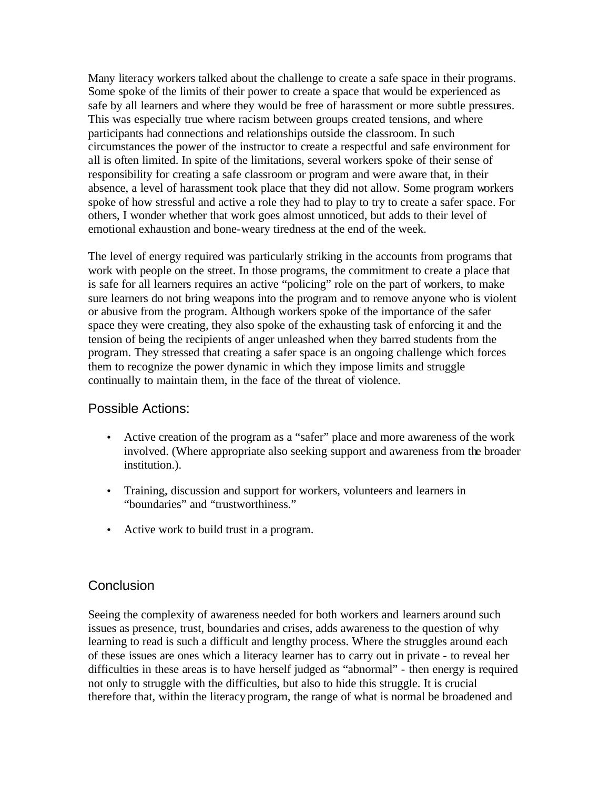<span id="page-23-0"></span>Many literacy workers talked about the challenge to create a safe space in their programs. Some spoke of the limits of their power to create a space that would be experienced as safe by all learners and where they would be free of harassment or more subtle pressures. This was especially true where racism between groups created tensions, and where participants had connections and relationships outside the classroom. In such circumstances the power of the instructor to create a respectful and safe environment for all is often limited. In spite of the limitations, several workers spoke of their sense of responsibility for creating a safe classroom or program and were aware that, in their absence, a level of harassment took place that they did not allow. Some program workers spoke of how stressful and active a role they had to play to try to create a safer space. For others, I wonder whether that work goes almost unnoticed, but adds to their level of emotional exhaustion and bone-weary tiredness at the end of the week.

The level of energy required was particularly striking in the accounts from programs that work with people on the street. In those programs, the commitment to create a place that is safe for all learners requires an active "policing" role on the part of workers, to make sure learners do not bring weapons into the program and to remove anyone who is violent or abusive from the program. Although workers spoke of the importance of the safer space they were creating, they also spoke of the exhausting task of enforcing it and the tension of being the recipients of anger unleashed when they barred students from the program. They stressed that creating a safer space is an ongoing challenge which forces them to recognize the power dynamic in which they impose limits and struggle continually to maintain them, in the face of the threat of violence.

## Possible Actions:

- Active creation of the program as a "safer" place and more awareness of the work involved. (Where appropriate also seeking support and awareness from the broader institution.).
- Training, discussion and support for workers, volunteers and learners in "boundaries" and "trustworthiness."
- Active work to build trust in a program.

# **Conclusion**

Seeing the complexity of awareness needed for both workers and learners around such issues as presence, trust, boundaries and crises, adds awareness to the question of why learning to read is such a difficult and lengthy process. Where the struggles around each of these issues are ones which a literacy learner has to carry out in private - to reveal her difficulties in these areas is to have herself judged as "abnormal" - then energy is required not only to struggle with the difficulties, but also to hide this struggle. It is crucial therefore that, within the literacy program, the range of what is normal be broadened and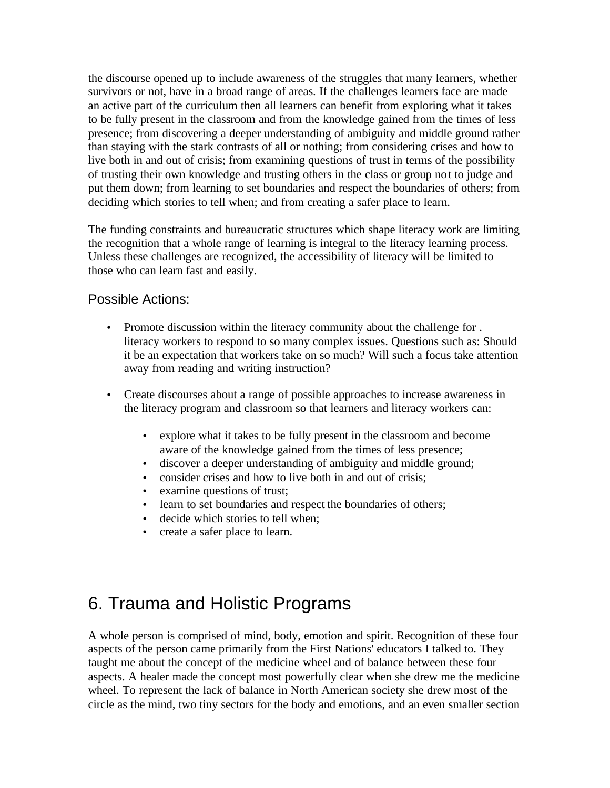<span id="page-24-0"></span>the discourse opened up to include awareness of the struggles that many learners, whether survivors or not, have in a broad range of areas. If the challenges learners face are made an active part of the curriculum then all learners can benefit from exploring what it takes to be fully present in the classroom and from the knowledge gained from the times of less presence; from discovering a deeper understanding of ambiguity and middle ground rather than staying with the stark contrasts of all or nothing; from considering crises and how to live both in and out of crisis; from examining questions of trust in terms of the possibility of trusting their own knowledge and trusting others in the class or group not to judge and put them down; from learning to set boundaries and respect the boundaries of others; from deciding which stories to tell when; and from creating a safer place to learn.

The funding constraints and bureaucratic structures which shape literacy work are limiting the recognition that a whole range of learning is integral to the literacy learning process. Unless these challenges are recognized, the accessibility of literacy will be limited to those who can learn fast and easily.

### Possible Actions:

- Promote discussion within the literacy community about the challenge for . literacy workers to respond to so many complex issues. Questions such as: Should it be an expectation that workers take on so much? Will such a focus take attention away from reading and writing instruction?
- Create discourses about a range of possible approaches to increase awareness in the literacy program and classroom so that learners and literacy workers can:
	- explore what it takes to be fully present in the classroom and become aware of the knowledge gained from the times of less presence;
	- discover a deeper understanding of ambiguity and middle ground;
	- consider crises and how to live both in and out of crisis:
	- examine questions of trust:
	- learn to set boundaries and respect the boundaries of others;
	- decide which stories to tell when;
	- create a safer place to learn.

# 6. Trauma and Holistic Programs

A whole person is comprised of mind, body, emotion and spirit. Recognition of these four aspects of the person came primarily from the First Nations' educators I talked to. They taught me about the concept of the medicine wheel and of balance between these four aspects. A healer made the concept most powerfully clear when she drew me the medicine wheel. To represent the lack of balance in North American society she drew most of the circle as the mind, two tiny sectors for the body and emotions, and an even smaller section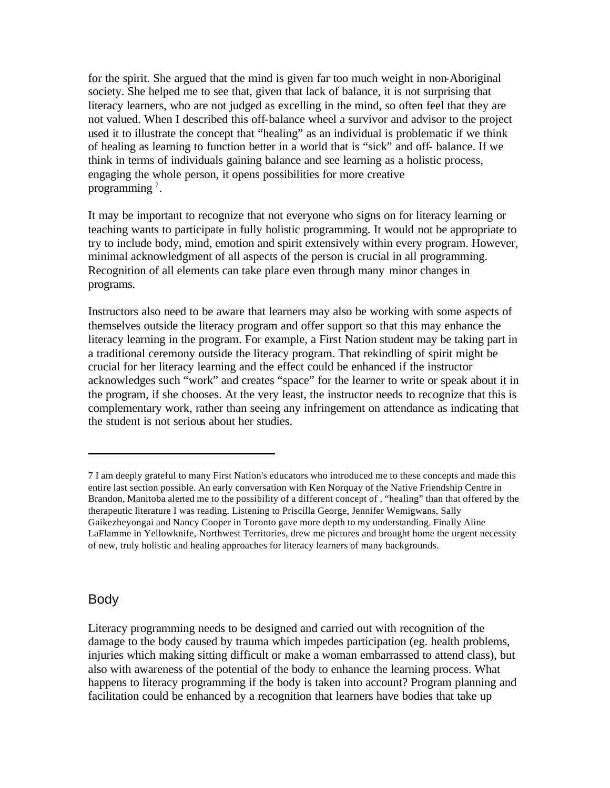<span id="page-25-0"></span>for the spirit. She argued that the mind is given far too much weight in non-Aboriginal society. She helped me to see that, given that lack of balance, it is not surprising that literacy learners, who are not judged as excelling in the mind, so often feel that they are not valued. When I described this off-balance wheel a survivor and advisor to the project used it to illustrate the concept that "healing" as an individual is problematic if we think of healing as learning to function better in a world that is "sick" and off- balance. If we think in terms of individuals gaining balance and see learning as a holistic process, engaging the whole person, it opens possibilities for more creative programming<sup>7</sup>.

It may be important to recognize that not everyone who signs on for literacy learning or teaching wants to participate in fully holistic programming. It would not be appropriate to try to include body, mind, emotion and spirit extensively within every program. However, minimal acknowledgment of all aspects of the person is crucial in all programming. Recognition of all elements can take place even through many minor changes in programs.

Instructors also need to be aware that learners may also be working with some aspects of themselves outside the literacy program and offer support so that this may enhance the literacy learning in the program. For example, a First Nation student may be taking part in a traditional ceremony outside the literacy program. That rekindling of spirit might be crucial for her literacy learning and the effect could be enhanced if the instructor acknowledges such "work" and creates "space" for the learner to write or speak about it in the program, if she chooses. At the very least, the instructor needs to recognize that this is complementary work, rather than seeing any infringement on attendance as indicating that the student is not serious about her studies.

## Body

Literacy programming needs to be designed and carried out with recognition of the damage to the body caused by trauma which impedes participation (eg. health problems, injuries which making sitting difficult or make a woman embarrassed to attend class), but also with awareness of the potential of the body to enhance the learning process. What happens to literacy programming if the body is taken into account? Program planning and facilitation could be enhanced by a recognition that learners have bodies that take up

<sup>7</sup> I am deeply grateful to many First Nation's educators who introduced me to these concepts and made this entire last section possible. An early conversation with Ken Norquay of the Native Friendship Centre in Brandon, Manitoba alerted me to the possibility of a different concept of , "healing" than that offered by the therapeutic literature I was reading. Listening to Priscilla George, Jennifer Wemigwans, Sally Gaikezheyongai and Nancy Cooper in Toronto gave more depth to my understanding. Finally Aline LaFlamme in Yellowknife, Northwest Territories, drew me pictures and brought home the urgent necessity of new, truly holistic and healing approaches for literacy learners of many backgrounds.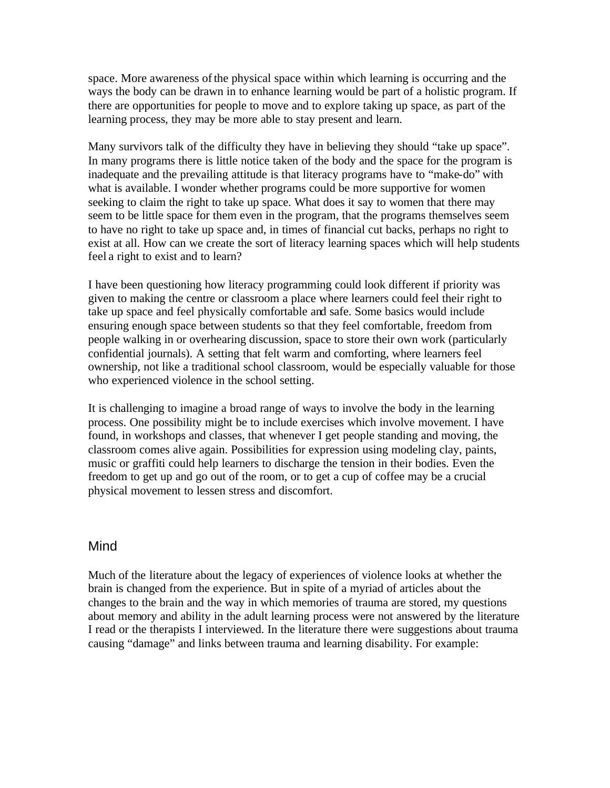<span id="page-26-0"></span>space. More awareness of the physical space within which learning is occurring and the ways the body can be drawn in to enhance learning would be part of a holistic program. If there are opportunities for people to move and to explore taking up space, as part of the learning process, they may be more able to stay present and learn.

Many survivors talk of the difficulty they have in believing they should "take up space". In many programs there is little notice taken of the body and the space for the program is inadequate and the prevailing attitude is that literacy programs have to "make-do" with what is available. I wonder whether programs could be more supportive for women seeking to claim the right to take up space. What does it say to women that there may seem to be little space for them even in the program, that the programs themselves seem to have no right to take up space and, in times of financial cut backs, perhaps no right to exist at all. How can we create the sort of literacy learning spaces which will help students feel a right to exist and to learn?

I have been questioning how literacy programming could look different if priority was given to making the centre or classroom a place where learners could feel their right to take up space and feel physically comfortable and safe. Some basics would include ensuring enough space between students so that they feel comfortable, freedom from people walking in or overhearing discussion, space to store their own work (particularly confidential journals). A setting that felt warm and comforting, where learners feel ownership, not like a traditional school classroom, would be especially valuable for those who experienced violence in the school setting.

It is challenging to imagine a broad range of ways to involve the body in the learning process. One possibility might be to include exercises which involve movement. I have found, in workshops and classes, that whenever I get people standing and moving, the classroom comes alive again. Possibilities for expression using modeling clay, paints, music or graffiti could help learners to discharge the tension in their bodies. Even the freedom to get up and go out of the room, or to get a cup of coffee may be a crucial physical movement to lessen stress and discomfort.

#### Mind

Much of the literature about the legacy of experiences of violence looks at whether the brain is changed from the experience. But in spite of a myriad of articles about the changes to the brain and the way in which memories of trauma are stored, my questions about memory and ability in the adult learning process were not answered by the literature I read or the therapists I interviewed. In the literature there were suggestions about trauma causing "damage" and links between trauma and learning disability. For example: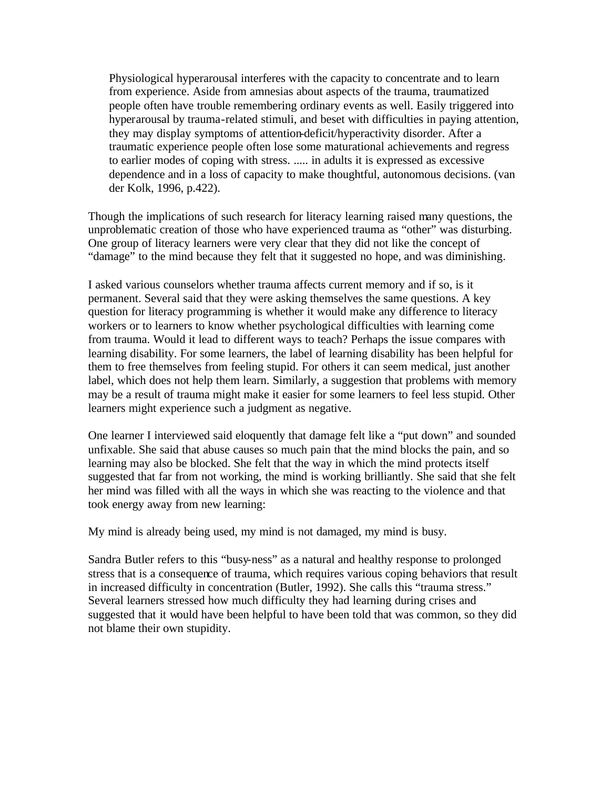Physiological hyperarousal interferes with the capacity to concentrate and to learn from experience. Aside from amnesias about aspects of the trauma, traumatized people often have trouble remembering ordinary events as well. Easily triggered into hyperarousal by trauma-related stimuli, and beset with difficulties in paying attention, they may display symptoms of attention-deficit/hyperactivity disorder. After a traumatic experience people often lose some maturational achievements and regress to earlier modes of coping with stress. ..... in adults it is expressed as excessive dependence and in a loss of capacity to make thoughtful, autonomous decisions. (van der Kolk, 1996, p.422).

Though the implications of such research for literacy learning raised many questions, the unproblematic creation of those who have experienced trauma as "other" was disturbing. One group of literacy learners were very clear that they did not like the concept of "damage" to the mind because they felt that it suggested no hope, and was diminishing.

I asked various counselors whether trauma affects current memory and if so, is it permanent. Several said that they were asking themselves the same questions. A key question for literacy programming is whether it would make any difference to literacy workers or to learners to know whether psychological difficulties with learning come from trauma. Would it lead to different ways to teach? Perhaps the issue compares with learning disability. For some learners, the label of learning disability has been helpful for them to free themselves from feeling stupid. For others it can seem medical, just another label, which does not help them learn. Similarly, a suggestion that problems with memory may be a result of trauma might make it easier for some learners to feel less stupid. Other learners might experience such a judgment as negative.

One learner I interviewed said eloquently that damage felt like a "put down" and sounded unfixable. She said that abuse causes so much pain that the mind blocks the pain, and so learning may also be blocked. She felt that the way in which the mind protects itself suggested that far from not working, the mind is working brilliantly. She said that she felt her mind was filled with all the ways in which she was reacting to the violence and that took energy away from new learning:

My mind is already being used, my mind is not damaged, my mind is busy.

Sandra Butler refers to this "busy-ness" as a natural and healthy response to prolonged stress that is a consequence of trauma, which requires various coping behaviors that result in increased difficulty in concentration (Butler, 1992). She calls this "trauma stress." Several learners stressed how much difficulty they had learning during crises and suggested that it would have been helpful to have been told that was common, so they did not blame their own stupidity.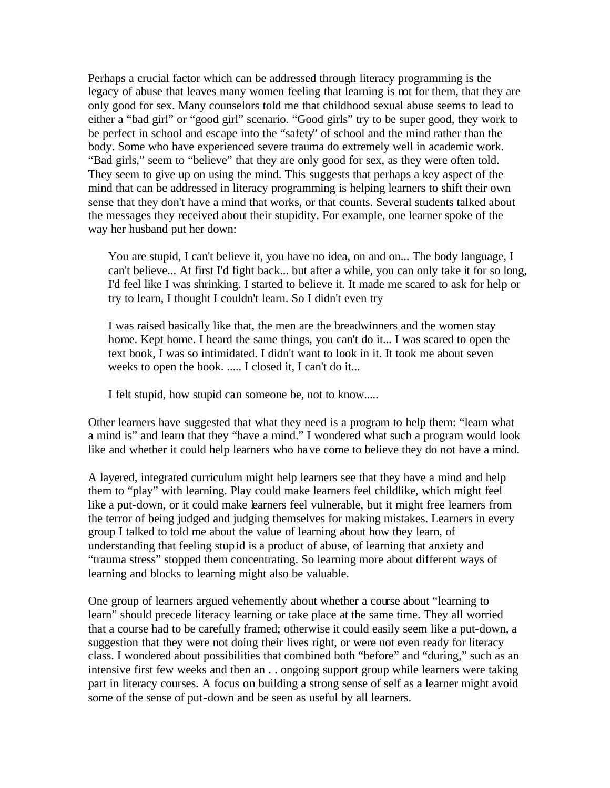Perhaps a crucial factor which can be addressed through literacy programming is the legacy of abuse that leaves many women feeling that learning is not for them, that they are only good for sex. Many counselors told me that childhood sexual abuse seems to lead to either a "bad girl" or "good girl" scenario. "Good girls" try to be super good, they work to be perfect in school and escape into the "safety" of school and the mind rather than the body. Some who have experienced severe trauma do extremely well in academic work. "Bad girls," seem to "believe" that they are only good for sex, as they were often told. They seem to give up on using the mind. This suggests that perhaps a key aspect of the mind that can be addressed in literacy programming is helping learners to shift their own sense that they don't have a mind that works, or that counts. Several students talked about the messages they received about their stupidity. For example, one learner spoke of the way her husband put her down:

You are stupid, I can't believe it, you have no idea, on and on... The body language, I can't believe... At first I'd fight back... but after a while, you can only take it for so long, I'd feel like I was shrinking. I started to believe it. It made me scared to ask for help or try to learn, I thought I couldn't learn. So I didn't even try

I was raised basically like that, the men are the breadwinners and the women stay home. Kept home. I heard the same things, you can't do it... I was scared to open the text book, I was so intimidated. I didn't want to look in it. It took me about seven weeks to open the book. ..... I closed it, I can't do it...

I felt stupid, how stupid can someone be, not to know.....

Other learners have suggested that what they need is a program to help them: "learn what a mind is" and learn that they "have a mind." I wondered what such a program would look like and whether it could help learners who have come to believe they do not have a mind.

A layered, integrated curriculum might help learners see that they have a mind and help them to "play" with learning. Play could make learners feel childlike, which might feel like a put-down, or it could make learners feel vulnerable, but it might free learners from the terror of being judged and judging themselves for making mistakes. Learners in every group I talked to told me about the value of learning about how they learn, of understanding that feeling stupid is a product of abuse, of learning that anxiety and "trauma stress" stopped them concentrating. So learning more about different ways of learning and blocks to learning might also be valuable.

One group of learners argued vehemently about whether a course about "learning to learn" should precede literacy learning or take place at the same time. They all worried that a course had to be carefully framed; otherwise it could easily seem like a put-down, a suggestion that they were not doing their lives right, or were not even ready for literacy class. I wondered about possibilities that combined both "before" and "during," such as an intensive first few weeks and then an . . ongoing support group while learners were taking part in literacy courses. A focus on building a strong sense of self as a learner might avoid some of the sense of put-down and be seen as useful by all learners.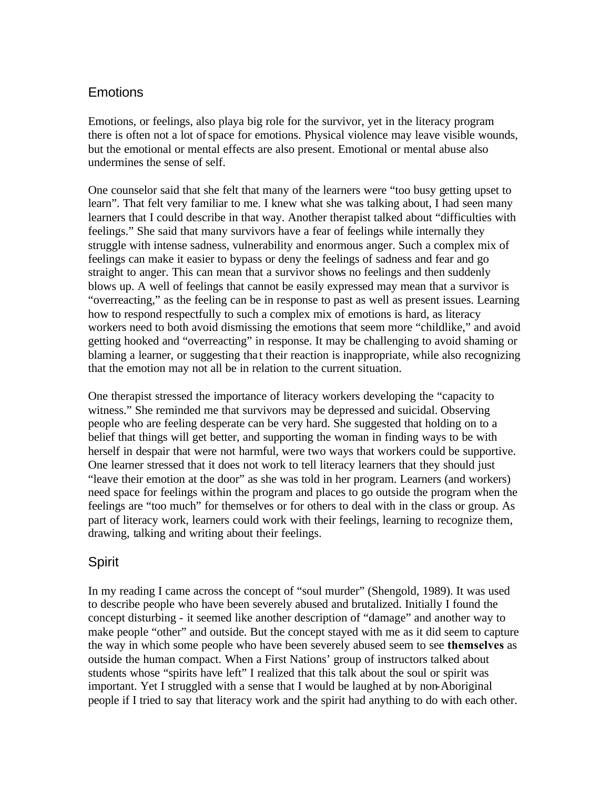# <span id="page-29-0"></span>Emotions

Emotions, or feelings, also playa big role for the survivor, yet in the literacy program there is often not a lot of space for emotions. Physical violence may leave visible wounds, but the emotional or mental effects are also present. Emotional or mental abuse also undermines the sense of self.

One counselor said that she felt that many of the learners were "too busy getting upset to learn". That felt very familiar to me. I knew what she was talking about, I had seen many learners that I could describe in that way. Another therapist talked about "difficulties with feelings." She said that many survivors have a fear of feelings while internally they struggle with intense sadness, vulnerability and enormous anger. Such a complex mix of feelings can make it easier to bypass or deny the feelings of sadness and fear and go straight to anger. This can mean that a survivor shows no feelings and then suddenly blows up. A well of feelings that cannot be easily expressed may mean that a survivor is "overreacting," as the feeling can be in response to past as well as present issues. Learning how to respond respectfully to such a complex mix of emotions is hard, as literacy workers need to both avoid dismissing the emotions that seem more "childlike," and avoid getting hooked and "overreacting" in response. It may be challenging to avoid shaming or blaming a learner, or suggesting tha t their reaction is inappropriate, while also recognizing that the emotion may not all be in relation to the current situation.

One therapist stressed the importance of literacy workers developing the "capacity to witness." She reminded me that survivors may be depressed and suicidal. Observing people who are feeling desperate can be very hard. She suggested that holding on to a belief that things will get better, and supporting the woman in finding ways to be with herself in despair that were not harmful, were two ways that workers could be supportive. One learner stressed that it does not work to tell literacy learners that they should just "leave their emotion at the door" as she was told in her program. Learners (and workers) need space for feelings within the program and places to go outside the program when the feelings are "too much" for themselves or for others to deal with in the class or group. As part of literacy work, learners could work with their feelings, learning to recognize them, drawing, talking and writing about their feelings.

# Spirit

In my reading I came across the concept of "soul murder" (Shengold, 1989). It was used to describe people who have been severely abused and brutalized. Initially I found the concept disturbing - it seemed like another description of "damage" and another way to make people "other" and outside. But the concept stayed with me as it did seem to capture the way in which some people who have been severely abused seem to see **themselves** as outside the human compact. When a First Nations' group of instructors talked about students whose "spirits have left" I realized that this talk about the soul or spirit was important. Yet I struggled with a sense that I would be laughed at by non-Aboriginal people if I tried to say that literacy work and the spirit had anything to do with each other.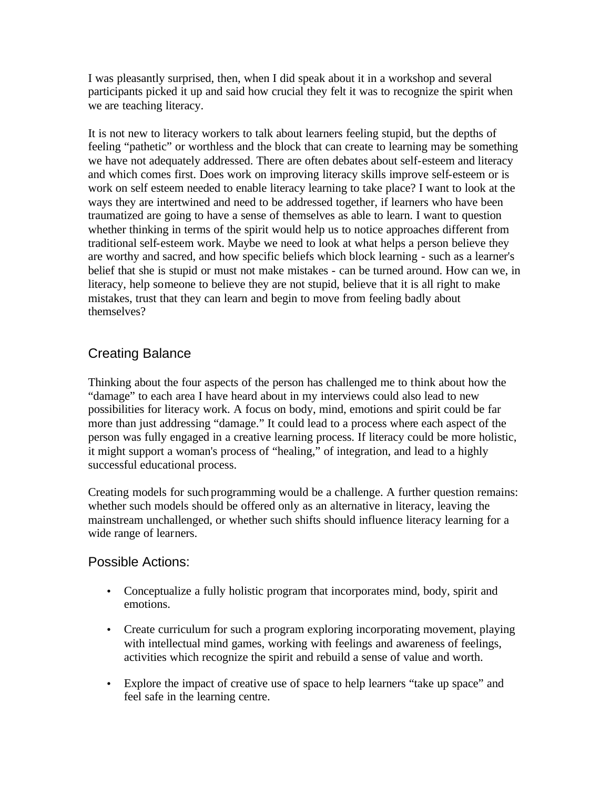<span id="page-30-0"></span>I was pleasantly surprised, then, when I did speak about it in a workshop and several participants picked it up and said how crucial they felt it was to recognize the spirit when we are teaching literacy.

It is not new to literacy workers to talk about learners feeling stupid, but the depths of feeling "pathetic" or worthless and the block that can create to learning may be something we have not adequately addressed. There are often debates about self-esteem and literacy and which comes first. Does work on improving literacy skills improve self-esteem or is work on self esteem needed to enable literacy learning to take place? I want to look at the ways they are intertwined and need to be addressed together, if learners who have been traumatized are going to have a sense of themselves as able to learn. I want to question whether thinking in terms of the spirit would help us to notice approaches different from traditional self-esteem work. Maybe we need to look at what helps a person believe they are worthy and sacred, and how specific beliefs which block learning - such as a learner's belief that she is stupid or must not make mistakes - can be turned around. How can we, in literacy, help someone to believe they are not stupid, believe that it is all right to make mistakes, trust that they can learn and begin to move from feeling badly about themselves?

# Creating Balance

Thinking about the four aspects of the person has challenged me to think about how the "damage" to each area I have heard about in my interviews could also lead to new possibilities for literacy work. A focus on body, mind, emotions and spirit could be far more than just addressing "damage." It could lead to a process where each aspect of the person was fully engaged in a creative learning process. If literacy could be more holistic, it might support a woman's process of "healing," of integration, and lead to a highly successful educational process.

Creating models for such programming would be a challenge. A further question remains: whether such models should be offered only as an alternative in literacy, leaving the mainstream unchallenged, or whether such shifts should influence literacy learning for a wide range of learners.

## Possible Actions:

- Conceptualize a fully holistic program that incorporates mind, body, spirit and emotions.
- Create curriculum for such a program exploring incorporating movement, playing with intellectual mind games, working with feelings and awareness of feelings, activities which recognize the spirit and rebuild a sense of value and worth.
- Explore the impact of creative use of space to help learners "take up space" and feel safe in the learning centre.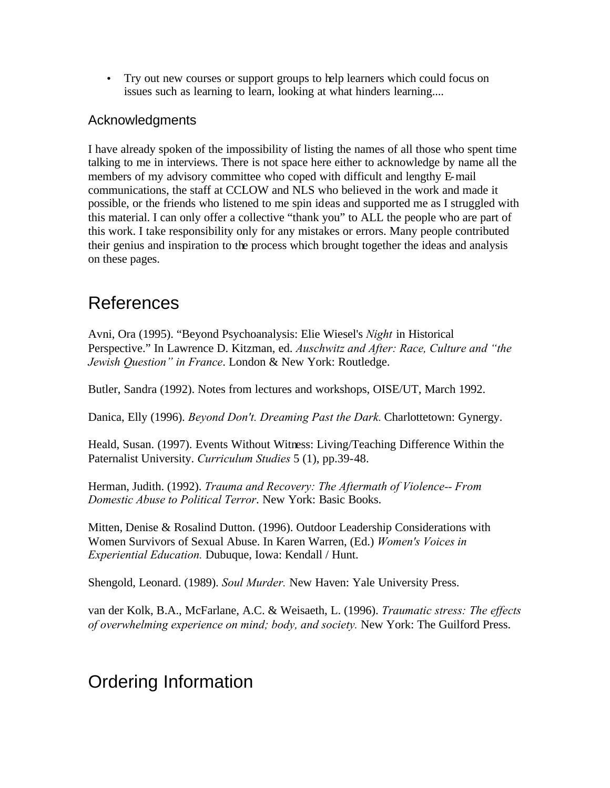• Try out new courses or support groups to help learners which could focus on issues such as learning to learn, looking at what hinders learning....

## Acknowledgments

I have already spoken of the impossibility of listing the names of all those who spent time talking to me in interviews. There is not space here either to acknowledge by name all the members of my advisory committee who coped with difficult and lengthy E-mail communications, the staff at CCLOW and NLS who believed in the work and made it possible, or the friends who listened to me spin ideas and supported me as I struggled with this material. I can only offer a collective "thank you" to ALL the people who are part of this work. I take responsibility only for any mistakes or errors. Many people contributed their genius and inspiration to the process which brought together the ideas and analysis on these pages.

# References

Avni, Ora (1995). "Beyond Psychoanalysis: Elie Wiesel's *Night* in Historical Perspective." In Lawrence D. Kitzman, ed. *Auschwitz and After: Race, Culture and "the Jewish Question" in France*. London & New York: Routledge.

Butler, Sandra (1992). Notes from lectures and workshops, OISE/UT, March 1992.

Danica, Elly (1996). *Beyond Don't. Dreaming Past the Dark.* Charlottetown: Gynergy.

Heald, Susan. (1997). Events Without Witness: Living/Teaching Difference Within the Paternalist University. *Curriculum Studies* 5 (1), pp.39-48.

Herman, Judith. (1992). *Trauma and Recovery: The Aftermath of Violence-- From Domestic Abuse to Political Terror*. New York: Basic Books.

Mitten, Denise & Rosalind Dutton. (1996). Outdoor Leadership Considerations with Women Survivors of Sexual Abuse. In Karen Warren, (Ed.) *Women's Voices in Experiential Education.* Dubuque, Iowa: Kendall / Hunt.

Shengold, Leonard. (1989). *Soul Murder.* New Haven: Yale University Press.

van der Kolk, B.A., McFarlane, A.C. & Weisaeth, L. (1996). *Traumatic stress: The effects of overwhelming experience on mind; body, and society.* New York: The Guilford Press.

# Ordering Information